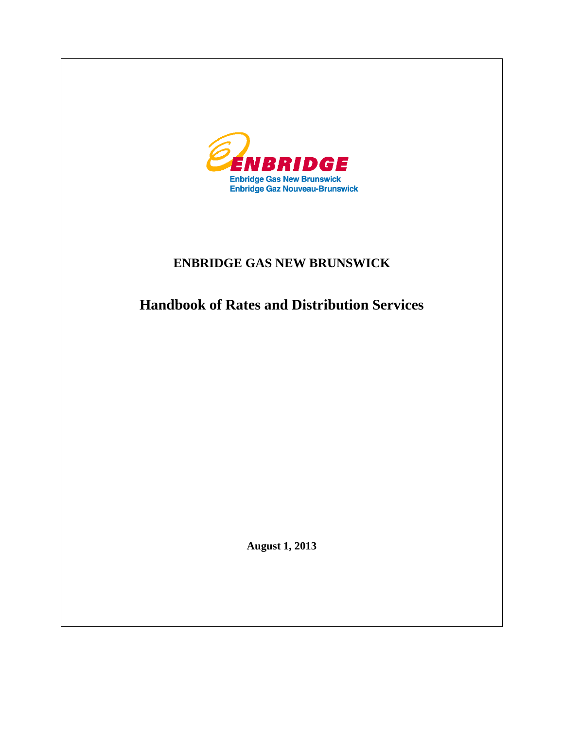

# **ENBRIDGE GAS NEW BRUNSWICK**

**Handbook of Rates and Distribution Services**

**August 1, 2013**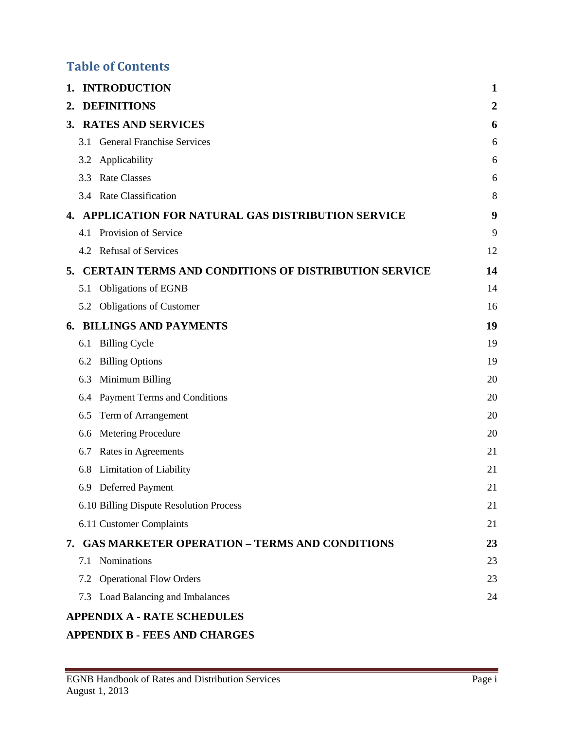# **Table of Contents**

| 1. |     | <b>INTRODUCTION</b>                                         | 1  |
|----|-----|-------------------------------------------------------------|----|
| 2. |     | <b>DEFINITIONS</b>                                          | 2  |
|    |     | 3. RATES AND SERVICES                                       | 6  |
|    | 3.1 | <b>General Franchise Services</b>                           | 6  |
|    | 3.2 | Applicability                                               | 6  |
|    | 3.3 | <b>Rate Classes</b>                                         | 6  |
|    |     | 3.4 Rate Classification                                     | 8  |
| 4. |     | APPLICATION FOR NATURAL GAS DISTRIBUTION SERVICE            | 9  |
|    |     | 4.1 Provision of Service                                    | 9  |
|    |     | 4.2 Refusal of Services                                     | 12 |
| 5. |     | <b>CERTAIN TERMS AND CONDITIONS OF DISTRIBUTION SERVICE</b> | 14 |
|    | 5.1 | <b>Obligations of EGNB</b>                                  | 14 |
|    |     | 5.2 Obligations of Customer                                 | 16 |
| 6. |     | <b>BILLINGS AND PAYMENTS</b>                                | 19 |
|    | 6.1 | <b>Billing Cycle</b>                                        | 19 |
|    | 6.2 | <b>Billing Options</b>                                      | 19 |
|    | 6.3 | Minimum Billing                                             | 20 |
|    | 6.4 | Payment Terms and Conditions                                | 20 |
|    | 6.5 | Term of Arrangement                                         | 20 |
|    | 6.6 | Metering Procedure                                          | 20 |
|    | 6.7 | Rates in Agreements                                         | 21 |
|    | 6.8 | Limitation of Liability                                     | 21 |
|    | 6.9 | Deferred Payment                                            | 21 |
|    |     | 6.10 Billing Dispute Resolution Process                     | 21 |
|    |     | 6.11 Customer Complaints                                    | 21 |
|    |     | 7. GAS MARKETER OPERATION - TERMS AND CONDITIONS            | 23 |
|    |     | 7.1 Nominations                                             | 23 |
|    |     | 7.2 Operational Flow Orders                                 | 23 |
|    |     | 7.3 Load Balancing and Imbalances                           | 24 |
|    |     | <b>APPENDIX A - RATE SCHEDULES</b>                          |    |

# **APPENDIX B - [FEES AND CHARGES](#page-39-0)**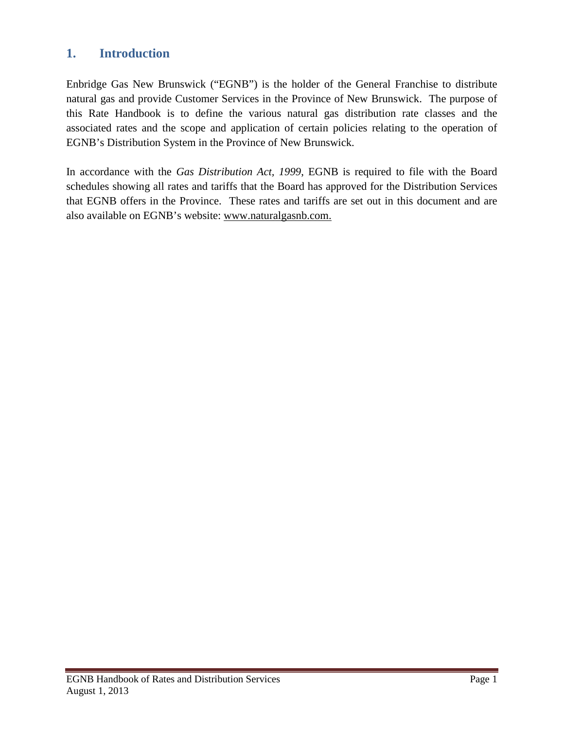# <span id="page-2-0"></span>**1. Introduction**

Enbridge Gas New Brunswick ("EGNB") is the holder of the General Franchise to distribute natural gas and provide Customer Services in the Province of New Brunswick. The purpose of this Rate Handbook is to define the various natural gas distribution rate classes and the associated rates and the scope and application of certain policies relating to the operation of EGNB's Distribution System in the Province of New Brunswick.

In accordance with the *Gas Distribution Act, 1999*, EGNB is required to file with the Board schedules showing all rates and tariffs that the Board has approved for the Distribution Services that EGNB offers in the Province. These rates and tariffs are set out in this document and are also available on EGNB's website: www.naturalgasnb.com.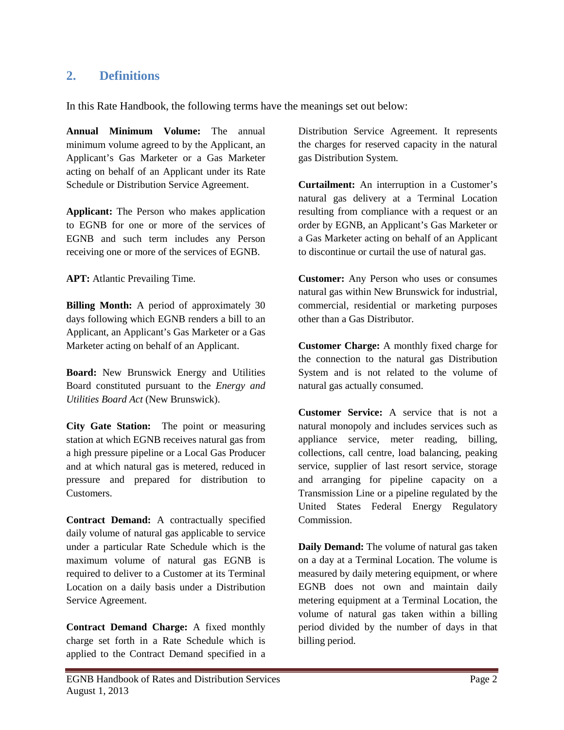# <span id="page-3-0"></span>**2. Definitions**

In this Rate Handbook, the following terms have the meanings set out below:

**Annual Minimum Volume:** The annual minimum volume agreed to by the Applicant, an Applicant's Gas Marketer or a Gas Marketer acting on behalf of an Applicant under its Rate Schedule or Distribution Service Agreement.

**Applicant:** The Person who makes application to EGNB for one or more of the services of EGNB and such term includes any Person receiving one or more of the services of EGNB.

**APT:** Atlantic Prevailing Time.

**Billing Month:** A period of approximately 30 days following which EGNB renders a bill to an Applicant, an Applicant's Gas Marketer or a Gas Marketer acting on behalf of an Applicant.

**Board:** New Brunswick Energy and Utilities Board constituted pursuant to the *Energy and Utilities Board Act* (New Brunswick).

**City Gate Station:** The point or measuring station at which EGNB receives natural gas from a high pressure pipeline or a Local Gas Producer and at which natural gas is metered, reduced in pressure and prepared for distribution to Customers.

**Contract Demand:** A contractually specified daily volume of natural gas applicable to service under a particular Rate Schedule which is the maximum volume of natural gas EGNB is required to deliver to a Customer at its Terminal Location on a daily basis under a Distribution Service Agreement.

**Contract Demand Charge:** A fixed monthly charge set forth in a Rate Schedule which is applied to the Contract Demand specified in a Distribution Service Agreement. It represents the charges for reserved capacity in the natural gas Distribution System.

**Curtailment:** An interruption in a Customer's natural gas delivery at a Terminal Location resulting from compliance with a request or an order by EGNB, an Applicant's Gas Marketer or a Gas Marketer acting on behalf of an Applicant to discontinue or curtail the use of natural gas.

**Customer:** Any Person who uses or consumes natural gas within New Brunswick for industrial, commercial, residential or marketing purposes other than a Gas Distributor.

**Customer Charge:** A monthly fixed charge for the connection to the natural gas Distribution System and is not related to the volume of natural gas actually consumed.

**Customer Service:** A service that is not a natural monopoly and includes services such as appliance service, meter reading, billing, collections, call centre, load balancing, peaking service, supplier of last resort service, storage and arranging for pipeline capacity on a Transmission Line or a pipeline regulated by the United States Federal Energy Regulatory Commission.

**Daily Demand:** The volume of natural gas taken on a day at a Terminal Location. The volume is measured by daily metering equipment, or where EGNB does not own and maintain daily metering equipment at a Terminal Location, the volume of natural gas taken within a billing period divided by the number of days in that billing period.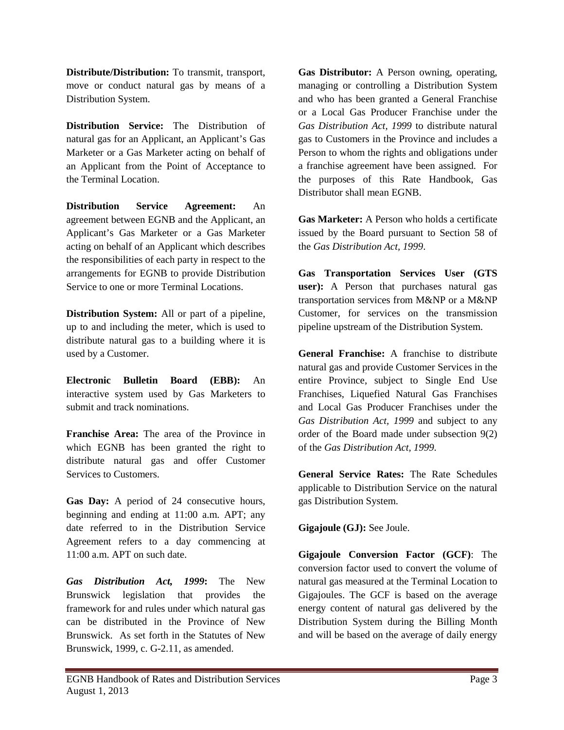**Distribute/Distribution:** To transmit, transport, move or conduct natural gas by means of a Distribution System.

**Distribution Service:** The Distribution of natural gas for an Applicant, an Applicant's Gas Marketer or a Gas Marketer acting on behalf of an Applicant from the Point of Acceptance to the Terminal Location.

**Distribution Service Agreement:** An agreement between EGNB and the Applicant, an Applicant's Gas Marketer or a Gas Marketer acting on behalf of an Applicant which describes the responsibilities of each party in respect to the arrangements for EGNB to provide Distribution Service to one or more Terminal Locations.

**Distribution System:** All or part of a pipeline, up to and including the meter, which is used to distribute natural gas to a building where it is used by a Customer.

**Electronic Bulletin Board (EBB):** An interactive system used by Gas Marketers to submit and track nominations.

**Franchise Area:** The area of the Province in which EGNB has been granted the right to distribute natural gas and offer Customer Services to Customers.

**Gas Day:** A period of 24 consecutive hours, beginning and ending at 11:00 a.m. APT; any date referred to in the Distribution Service Agreement refers to a day commencing at 11:00 a.m. APT on such date.

*Gas Distribution Act, 1999***:** The New Brunswick legislation that provides the framework for and rules under which natural gas can be distributed in the Province of New Brunswick. As set forth in the Statutes of New Brunswick, 1999, c. G-2.11, as amended.

**Gas Distributor:** A Person owning, operating, managing or controlling a Distribution System and who has been granted a General Franchise or a Local Gas Producer Franchise under the *Gas Distribution Act, 1999* to distribute natural gas to Customers in the Province and includes a Person to whom the rights and obligations under a franchise agreement have been assigned. For the purposes of this Rate Handbook, Gas Distributor shall mean EGNB.

**Gas Marketer:** A Person who holds a certificate issued by the Board pursuant to Section 58 of the *Gas Distribution Act, 1999*.

**Gas Transportation Services User (GTS user):** A Person that purchases natural gas transportation services from M&NP or a M&NP Customer, for services on the transmission pipeline upstream of the Distribution System.

**General Franchise:** A franchise to distribute natural gas and provide Customer Services in the entire Province, subject to Single End Use Franchises, Liquefied Natural Gas Franchises and Local Gas Producer Franchises under the *Gas Distribution Act, 1999* and subject to any order of the Board made under subsection 9(2) of the *Gas Distribution Act, 1999*.

**General Service Rates:** The Rate Schedules applicable to Distribution Service on the natural gas Distribution System.

**Gigajoule (GJ):** See Joule.

**Gigajoule Conversion Factor (GCF)**: The conversion factor used to convert the volume of natural gas measured at the Terminal Location to Gigajoules. The GCF is based on the average energy content of natural gas delivered by the Distribution System during the Billing Month and will be based on the average of daily energy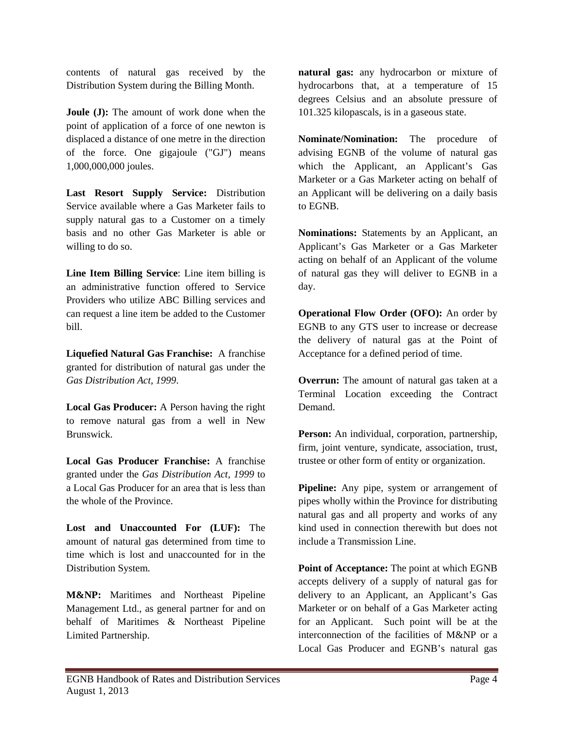contents of natural gas received by the Distribution System during the Billing Month.

**Joule (J):** The amount of work done when the point of application of a force of one newton is displaced a distance of one metre in the direction of the force. One gigajoule ("GJ") means 1,000,000,000 joules.

**Last Resort Supply Service:** Distribution Service available where a Gas Marketer fails to supply natural gas to a Customer on a timely basis and no other Gas Marketer is able or willing to do so.

**Line Item Billing Service**: Line item billing is an administrative function offered to Service Providers who utilize ABC Billing services and can request a line item be added to the Customer bill.

**Liquefied Natural Gas Franchise:** A franchise granted for distribution of natural gas under the *Gas Distribution Act, 1999*.

**Local Gas Producer:** A Person having the right to remove natural gas from a well in New Brunswick.

**Local Gas Producer Franchise:** A franchise granted under the *Gas Distribution Act, 1999* to a Local Gas Producer for an area that is less than the whole of the Province.

**Lost and Unaccounted For (LUF):** The amount of natural gas determined from time to time which is lost and unaccounted for in the Distribution System.

**M&NP:** Maritimes and Northeast Pipeline Management Ltd., as general partner for and on behalf of Maritimes & Northeast Pipeline Limited Partnership.

**natural gas:** any hydrocarbon or mixture of hydrocarbons that, at a temperature of 15 degrees Celsius and an absolute pressure of 101.325 kilopascals, is in a gaseous state.

**Nominate/Nomination:** The procedure of advising EGNB of the volume of natural gas which the Applicant, an Applicant's Gas Marketer or a Gas Marketer acting on behalf of an Applicant will be delivering on a daily basis to EGNB.

**Nominations:** Statements by an Applicant, an Applicant's Gas Marketer or a Gas Marketer acting on behalf of an Applicant of the volume of natural gas they will deliver to EGNB in a day.

**Operational Flow Order (OFO):** An order by EGNB to any GTS user to increase or decrease the delivery of natural gas at the Point of Acceptance for a defined period of time.

**Overrun:** The amount of natural gas taken at a Terminal Location exceeding the Contract Demand.

**Person:** An individual, corporation, partnership, firm, joint venture, syndicate, association, trust, trustee or other form of entity or organization.

**Pipeline:** Any pipe, system or arrangement of pipes wholly within the Province for distributing natural gas and all property and works of any kind used in connection therewith but does not include a Transmission Line.

**Point of Acceptance:** The point at which EGNB accepts delivery of a supply of natural gas for delivery to an Applicant, an Applicant's Gas Marketer or on behalf of a Gas Marketer acting for an Applicant. Such point will be at the interconnection of the facilities of M&NP or a Local Gas Producer and EGNB's natural gas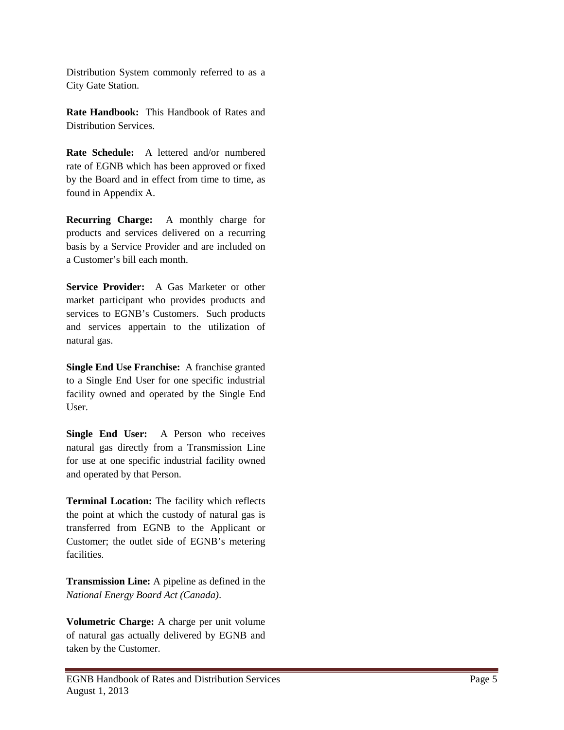Distribution System commonly referred to as a City Gate Station.

**Rate Handbook:** This Handbook of Rates and Distribution Services.

**Rate Schedule:** A lettered and/or numbered rate of EGNB which has been approved or fixed by the Board and in effect from time to time, as found in Appendix A.

**Recurring Charge:** A monthly charge for products and services delivered on a recurring basis by a Service Provider and are included on a Customer's bill each month.

**Service Provider:** A Gas Marketer or other market participant who provides products and services to EGNB's Customers. Such products and services appertain to the utilization of natural gas.

**Single End Use Franchise:** A franchise granted to a Single End User for one specific industrial facility owned and operated by the Single End User.

**Single End User:** A Person who receives natural gas directly from a Transmission Line for use at one specific industrial facility owned and operated by that Person.

**Terminal Location:** The facility which reflects the point at which the custody of natural gas is transferred from EGNB to the Applicant or Customer; the outlet side of EGNB's metering facilities.

**Transmission Line:** A pipeline as defined in the *National Energy Board Act (Canada)*.

**Volumetric Charge:** A charge per unit volume of natural gas actually delivered by EGNB and taken by the Customer.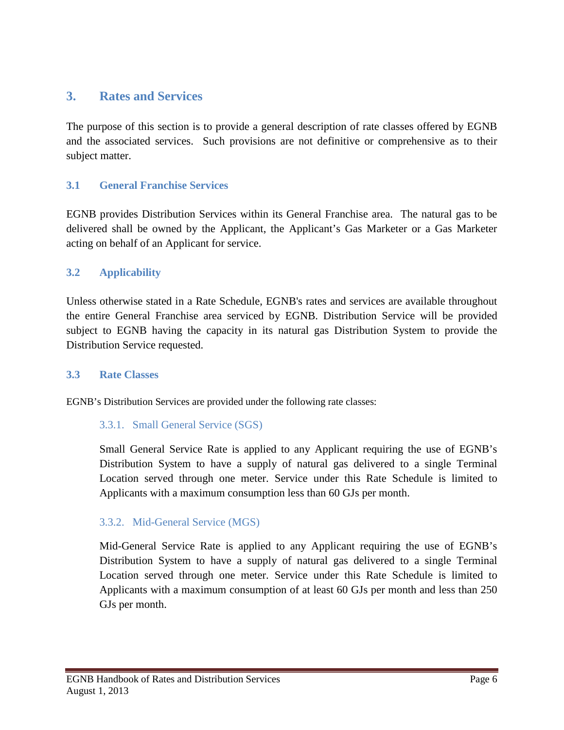# <span id="page-7-0"></span>**3. Rates and Services**

The purpose of this section is to provide a general description of rate classes offered by EGNB and the associated services. Such provisions are not definitive or comprehensive as to their subject matter.

### <span id="page-7-1"></span>**3.1 General Franchise Services**

EGNB provides Distribution Services within its General Franchise area. The natural gas to be delivered shall be owned by the Applicant, the Applicant's Gas Marketer or a Gas Marketer acting on behalf of an Applicant for service.

### <span id="page-7-2"></span>**3.2 Applicability**

Unless otherwise stated in a Rate Schedule, EGNB's rates and services are available throughout the entire General Franchise area serviced by EGNB. Distribution Service will be provided subject to EGNB having the capacity in its natural gas Distribution System to provide the Distribution Service requested.

### <span id="page-7-3"></span>**3.3 Rate Classes**

EGNB's Distribution Services are provided under the following rate classes:

### 3.3.1. Small General Service (SGS)

Small General Service Rate is applied to any Applicant requiring the use of EGNB's Distribution System to have a supply of natural gas delivered to a single Terminal Location served through one meter. Service under this Rate Schedule is limited to Applicants with a maximum consumption less than 60 GJs per month.

### 3.3.2. Mid-General Service (MGS)

Mid-General Service Rate is applied to any Applicant requiring the use of EGNB's Distribution System to have a supply of natural gas delivered to a single Terminal Location served through one meter. Service under this Rate Schedule is limited to Applicants with a maximum consumption of at least 60 GJs per month and less than 250 GJs per month.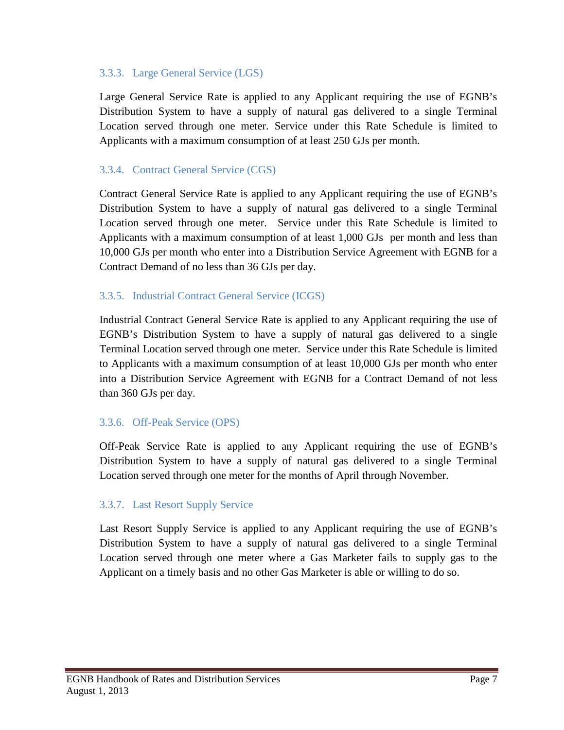### 3.3.3. Large General Service (LGS)

Large General Service Rate is applied to any Applicant requiring the use of EGNB's Distribution System to have a supply of natural gas delivered to a single Terminal Location served through one meter. Service under this Rate Schedule is limited to Applicants with a maximum consumption of at least 250 GJs per month.

# 3.3.4. Contract General Service (CGS)

Contract General Service Rate is applied to any Applicant requiring the use of EGNB's Distribution System to have a supply of natural gas delivered to a single Terminal Location served through one meter. Service under this Rate Schedule is limited to Applicants with a maximum consumption of at least 1,000 GJs per month and less than 10,000 GJs per month who enter into a Distribution Service Agreement with EGNB for a Contract Demand of no less than 36 GJs per day.

### 3.3.5. Industrial Contract General Service (ICGS)

Industrial Contract General Service Rate is applied to any Applicant requiring the use of EGNB's Distribution System to have a supply of natural gas delivered to a single Terminal Location served through one meter. Service under this Rate Schedule is limited to Applicants with a maximum consumption of at least 10,000 GJs per month who enter into a Distribution Service Agreement with EGNB for a Contract Demand of not less than 360 GJs per day.

### 3.3.6. Off-Peak Service (OPS)

Off-Peak Service Rate is applied to any Applicant requiring the use of EGNB's Distribution System to have a supply of natural gas delivered to a single Terminal Location served through one meter for the months of April through November.

# 3.3.7. Last Resort Supply Service

Last Resort Supply Service is applied to any Applicant requiring the use of EGNB's Distribution System to have a supply of natural gas delivered to a single Terminal Location served through one meter where a Gas Marketer fails to supply gas to the Applicant on a timely basis and no other Gas Marketer is able or willing to do so.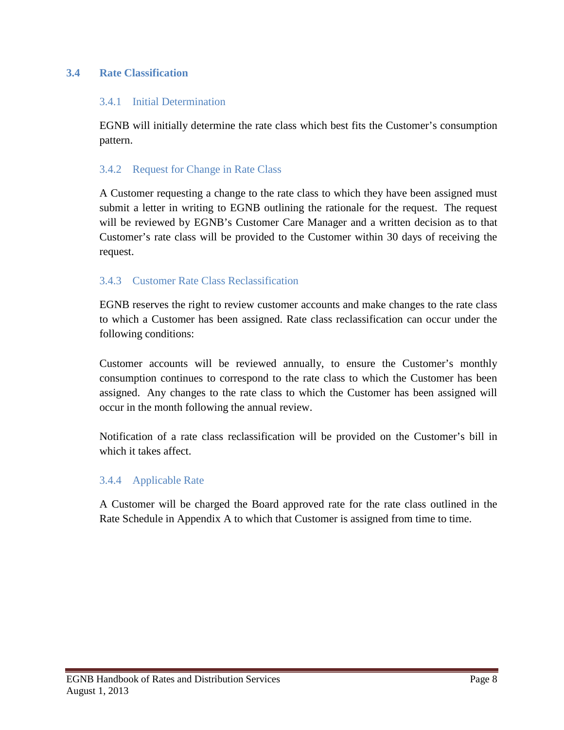# <span id="page-9-0"></span>**3.4 Rate Classification**

### 3.4.1 Initial Determination

EGNB will initially determine the rate class which best fits the Customer's consumption pattern.

### 3.4.2 Request for Change in Rate Class

A Customer requesting a change to the rate class to which they have been assigned must submit a letter in writing to EGNB outlining the rationale for the request. The request will be reviewed by EGNB's Customer Care Manager and a written decision as to that Customer's rate class will be provided to the Customer within 30 days of receiving the request.

### 3.4.3 Customer Rate Class Reclassification

EGNB reserves the right to review customer accounts and make changes to the rate class to which a Customer has been assigned. Rate class reclassification can occur under the following conditions:

Customer accounts will be reviewed annually, to ensure the Customer's monthly consumption continues to correspond to the rate class to which the Customer has been assigned. Any changes to the rate class to which the Customer has been assigned will occur in the month following the annual review.

Notification of a rate class reclassification will be provided on the Customer's bill in which it takes affect.

### 3.4.4 Applicable Rate

A Customer will be charged the Board approved rate for the rate class outlined in the Rate Schedule in Appendix A to which that Customer is assigned from time to time.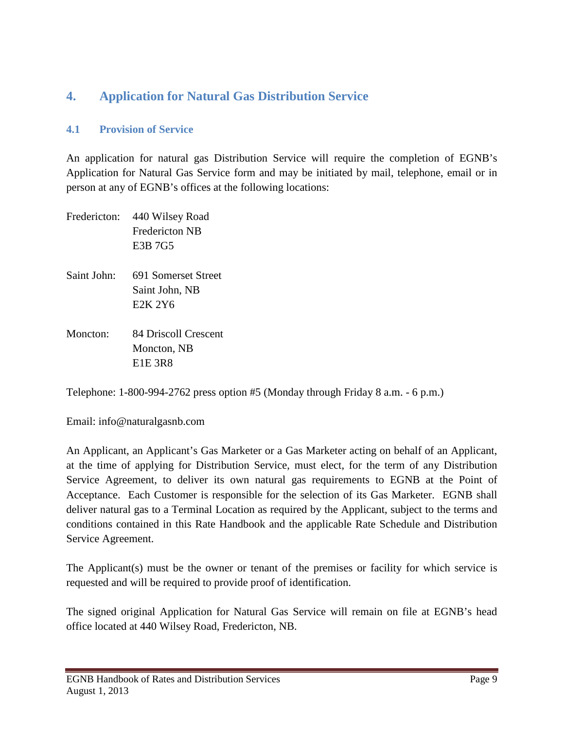# <span id="page-10-0"></span>**4. Application for Natural Gas Distribution Service**

### <span id="page-10-1"></span>**4.1 Provision of Service**

An application for natural gas Distribution Service will require the completion of EGNB's Application for Natural Gas Service form and may be initiated by mail, telephone, email or in person at any of EGNB's offices at the following locations:

|             | Fredericton: 440 Wilsey Road<br><b>Fredericton NB</b><br>E3B 7G5          |
|-------------|---------------------------------------------------------------------------|
| Saint John: | 691 Somerset Street<br>Saint John, NB<br>E <sub>2</sub> K 2Y <sub>6</sub> |
| Moncton:    | 84 Driscoll Crescent<br>Moncton, NB<br><b>E1E 3R8</b>                     |

Telephone: 1-800-994-2762 press option #5 (Monday through Friday 8 a.m. - 6 p.m.)

Email: info@naturalgasnb.com

An Applicant, an Applicant's Gas Marketer or a Gas Marketer acting on behalf of an Applicant, at the time of applying for Distribution Service, must elect, for the term of any Distribution Service Agreement, to deliver its own natural gas requirements to EGNB at the Point of Acceptance. Each Customer is responsible for the selection of its Gas Marketer. EGNB shall deliver natural gas to a Terminal Location as required by the Applicant, subject to the terms and conditions contained in this Rate Handbook and the applicable Rate Schedule and Distribution Service Agreement.

The Applicant(s) must be the owner or tenant of the premises or facility for which service is requested and will be required to provide proof of identification.

The signed original Application for Natural Gas Service will remain on file at EGNB's head office located at 440 Wilsey Road, Fredericton, NB.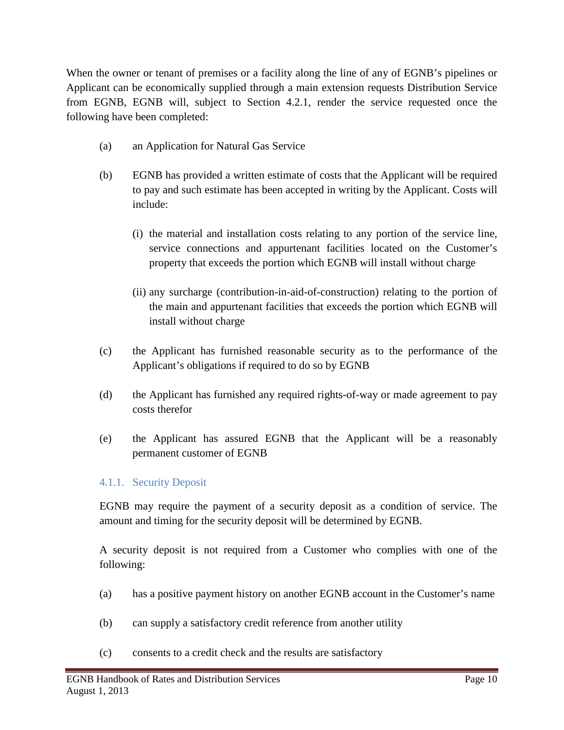When the owner or tenant of premises or a facility along the line of any of EGNB's pipelines or Applicant can be economically supplied through a main extension requests Distribution Service from EGNB, EGNB will, subject to Section 4.2.1, render the service requested once the following have been completed:

- (a) an Application for Natural Gas Service
- (b) EGNB has provided a written estimate of costs that the Applicant will be required to pay and such estimate has been accepted in writing by the Applicant. Costs will include:
	- (i) the material and installation costs relating to any portion of the service line, service connections and appurtenant facilities located on the Customer's property that exceeds the portion which EGNB will install without charge
	- (ii) any surcharge (contribution-in-aid-of-construction) relating to the portion of the main and appurtenant facilities that exceeds the portion which EGNB will install without charge
- (c) the Applicant has furnished reasonable security as to the performance of the Applicant's obligations if required to do so by EGNB
- (d) the Applicant has furnished any required rights-of-way or made agreement to pay costs therefor
- (e) the Applicant has assured EGNB that the Applicant will be a reasonably permanent customer of EGNB

# 4.1.1. Security Deposit

EGNB may require the payment of a security deposit as a condition of service. The amount and timing for the security deposit will be determined by EGNB.

A security deposit is not required from a Customer who complies with one of the following:

- (a) has a positive payment history on another EGNB account in the Customer's name
- (b) can supply a satisfactory credit reference from another utility
- (c) consents to a credit check and the results are satisfactory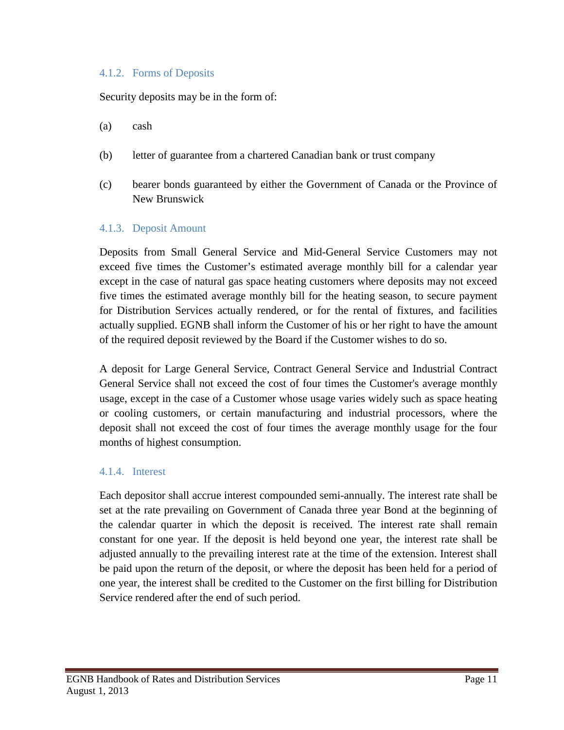### 4.1.2. Forms of Deposits

Security deposits may be in the form of:

- (a) cash
- (b) letter of guarantee from a chartered Canadian bank or trust company
- (c) bearer bonds guaranteed by either the Government of Canada or the Province of New Brunswick

#### 4.1.3. Deposit Amount

Deposits from Small General Service and Mid-General Service Customers may not exceed five times the Customer's estimated average monthly bill for a calendar year except in the case of natural gas space heating customers where deposits may not exceed five times the estimated average monthly bill for the heating season, to secure payment for Distribution Services actually rendered, or for the rental of fixtures, and facilities actually supplied. EGNB shall inform the Customer of his or her right to have the amount of the required deposit reviewed by the Board if the Customer wishes to do so.

A deposit for Large General Service, Contract General Service and Industrial Contract General Service shall not exceed the cost of four times the Customer's average monthly usage, except in the case of a Customer whose usage varies widely such as space heating or cooling customers, or certain manufacturing and industrial processors, where the deposit shall not exceed the cost of four times the average monthly usage for the four months of highest consumption.

### 4.1.4. Interest

Each depositor shall accrue interest compounded semi-annually. The interest rate shall be set at the rate prevailing on Government of Canada three year Bond at the beginning of the calendar quarter in which the deposit is received. The interest rate shall remain constant for one year. If the deposit is held beyond one year, the interest rate shall be adjusted annually to the prevailing interest rate at the time of the extension. Interest shall be paid upon the return of the deposit, or where the deposit has been held for a period of one year, the interest shall be credited to the Customer on the first billing for Distribution Service rendered after the end of such period.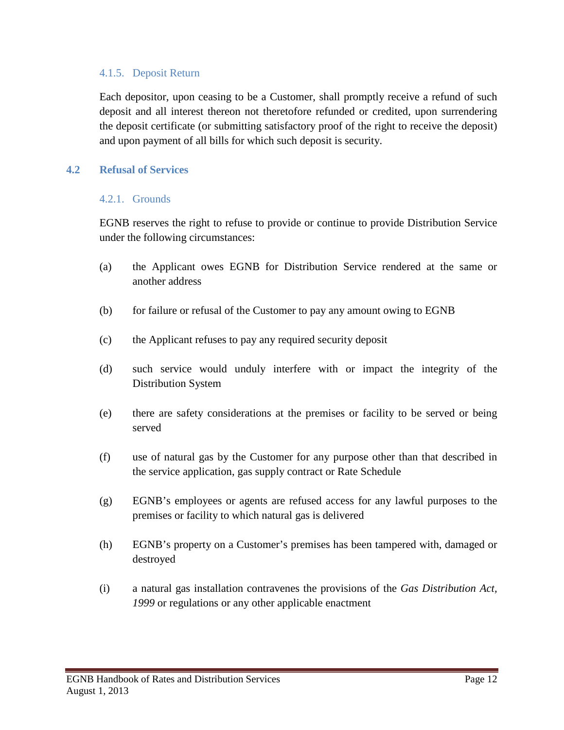### 4.1.5. Deposit Return

Each depositor, upon ceasing to be a Customer, shall promptly receive a refund of such deposit and all interest thereon not theretofore refunded or credited, upon surrendering the deposit certificate (or submitting satisfactory proof of the right to receive the deposit) and upon payment of all bills for which such deposit is security.

### <span id="page-13-0"></span>**4.2 Refusal of Services**

#### 4.2.1. Grounds

EGNB reserves the right to refuse to provide or continue to provide Distribution Service under the following circumstances:

- (a) the Applicant owes EGNB for Distribution Service rendered at the same or another address
- (b) for failure or refusal of the Customer to pay any amount owing to EGNB
- (c) the Applicant refuses to pay any required security deposit
- (d) such service would unduly interfere with or impact the integrity of the Distribution System
- (e) there are safety considerations at the premises or facility to be served or being served
- (f) use of natural gas by the Customer for any purpose other than that described in the service application, gas supply contract or Rate Schedule
- (g) EGNB's employees or agents are refused access for any lawful purposes to the premises or facility to which natural gas is delivered
- (h) EGNB's property on a Customer's premises has been tampered with, damaged or destroyed
- (i) a natural gas installation contravenes the provisions of the *Gas Distribution Act, 1999* or regulations or any other applicable enactment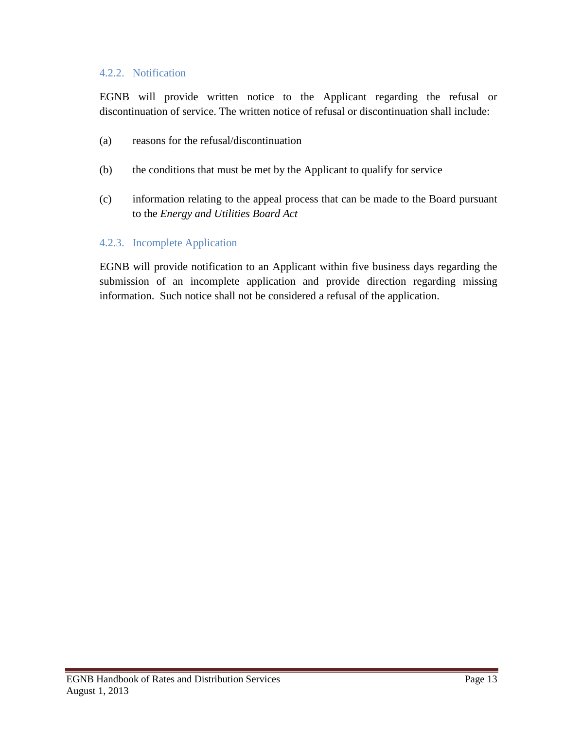### 4.2.2. Notification

EGNB will provide written notice to the Applicant regarding the refusal or discontinuation of service. The written notice of refusal or discontinuation shall include:

- (a) reasons for the refusal/discontinuation
- (b) the conditions that must be met by the Applicant to qualify for service
- (c) information relating to the appeal process that can be made to the Board pursuant to the *Energy and Utilities Board Act*

### 4.2.3. Incomplete Application

EGNB will provide notification to an Applicant within five business days regarding the submission of an incomplete application and provide direction regarding missing information. Such notice shall not be considered a refusal of the application.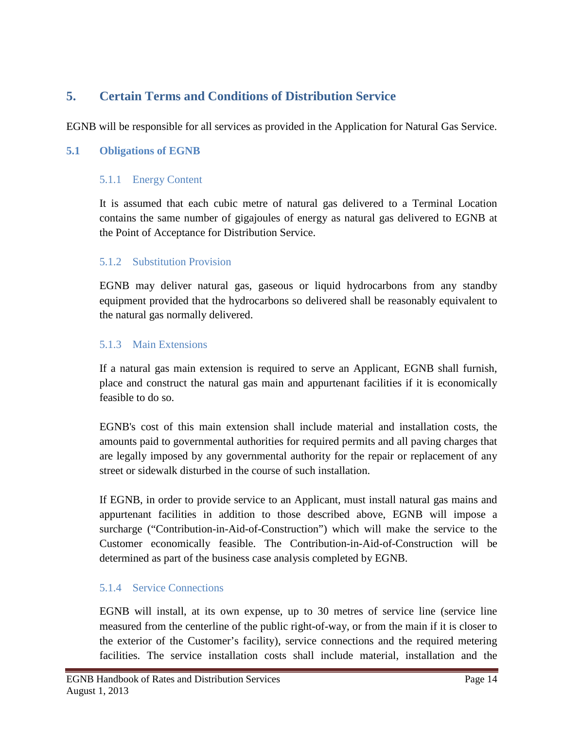# <span id="page-15-0"></span>**5. Certain Terms and Conditions of Distribution Service**

EGNB will be responsible for all services as provided in the Application for Natural Gas Service.

### <span id="page-15-1"></span>**5.1 Obligations of EGNB**

### 5.1.1 Energy Content

It is assumed that each cubic metre of natural gas delivered to a Terminal Location contains the same number of gigajoules of energy as natural gas delivered to EGNB at the Point of Acceptance for Distribution Service.

### 5.1.2 Substitution Provision

EGNB may deliver natural gas, gaseous or liquid hydrocarbons from any standby equipment provided that the hydrocarbons so delivered shall be reasonably equivalent to the natural gas normally delivered.

### 5.1.3 Main Extensions

If a natural gas main extension is required to serve an Applicant, EGNB shall furnish, place and construct the natural gas main and appurtenant facilities if it is economically feasible to do so.

EGNB's cost of this main extension shall include material and installation costs, the amounts paid to governmental authorities for required permits and all paving charges that are legally imposed by any governmental authority for the repair or replacement of any street or sidewalk disturbed in the course of such installation.

If EGNB, in order to provide service to an Applicant, must install natural gas mains and appurtenant facilities in addition to those described above, EGNB will impose a surcharge ("Contribution-in-Aid-of-Construction") which will make the service to the Customer economically feasible. The Contribution-in-Aid-of-Construction will be determined as part of the business case analysis completed by EGNB.

# 5.1.4 Service Connections

EGNB will install, at its own expense, up to 30 metres of service line (service line measured from the centerline of the public right-of-way, or from the main if it is closer to the exterior of the Customer's facility), service connections and the required metering facilities. The service installation costs shall include material, installation and the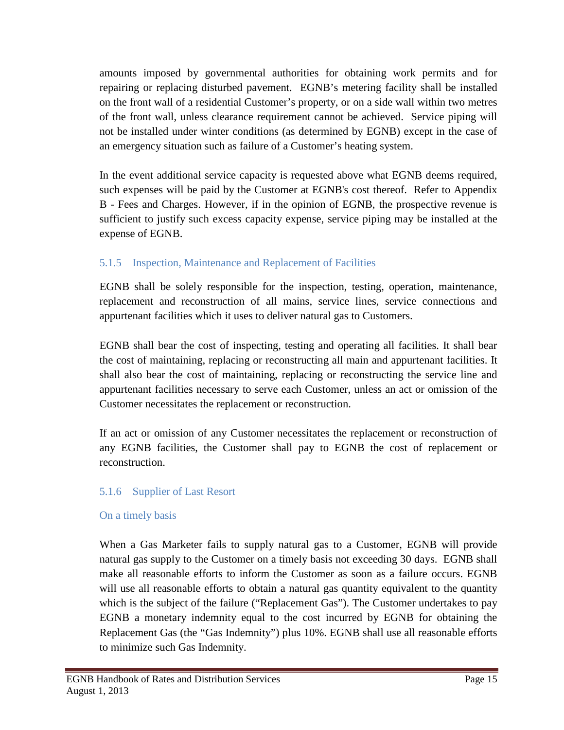amounts imposed by governmental authorities for obtaining work permits and for repairing or replacing disturbed pavement. EGNB's metering facility shall be installed on the front wall of a residential Customer's property, or on a side wall within two metres of the front wall, unless clearance requirement cannot be achieved. Service piping will not be installed under winter conditions (as determined by EGNB) except in the case of an emergency situation such as failure of a Customer's heating system.

In the event additional service capacity is requested above what EGNB deems required, such expenses will be paid by the Customer at EGNB's cost thereof. Refer to Appendix B - Fees and Charges. However, if in the opinion of EGNB, the prospective revenue is sufficient to justify such excess capacity expense, service piping may be installed at the expense of EGNB.

# 5.1.5 Inspection, Maintenance and Replacement of Facilities

EGNB shall be solely responsible for the inspection, testing, operation, maintenance, replacement and reconstruction of all mains, service lines, service connections and appurtenant facilities which it uses to deliver natural gas to Customers.

EGNB shall bear the cost of inspecting, testing and operating all facilities. It shall bear the cost of maintaining, replacing or reconstructing all main and appurtenant facilities. It shall also bear the cost of maintaining, replacing or reconstructing the service line and appurtenant facilities necessary to serve each Customer, unless an act or omission of the Customer necessitates the replacement or reconstruction.

If an act or omission of any Customer necessitates the replacement or reconstruction of any EGNB facilities, the Customer shall pay to EGNB the cost of replacement or reconstruction.

# 5.1.6 Supplier of Last Resort

### On a timely basis

When a Gas Marketer fails to supply natural gas to a Customer, EGNB will provide natural gas supply to the Customer on a timely basis not exceeding 30 days. EGNB shall make all reasonable efforts to inform the Customer as soon as a failure occurs. EGNB will use all reasonable efforts to obtain a natural gas quantity equivalent to the quantity which is the subject of the failure ("Replacement Gas"). The Customer undertakes to pay EGNB a monetary indemnity equal to the cost incurred by EGNB for obtaining the Replacement Gas (the "Gas Indemnity") plus 10%. EGNB shall use all reasonable efforts to minimize such Gas Indemnity.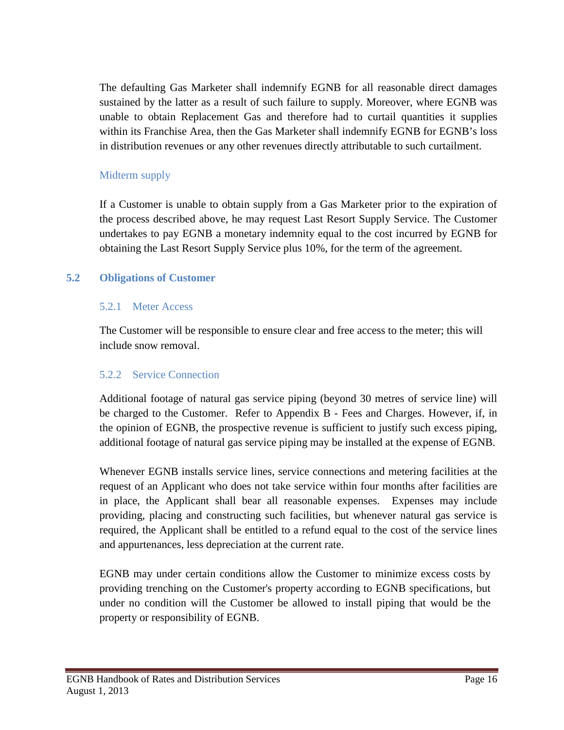The defaulting Gas Marketer shall indemnify EGNB for all reasonable direct damages sustained by the latter as a result of such failure to supply. Moreover, where EGNB was unable to obtain Replacement Gas and therefore had to curtail quantities it supplies within its Franchise Area, then the Gas Marketer shall indemnify EGNB for EGNB's loss in distribution revenues or any other revenues directly attributable to such curtailment.

# Midterm supply

If a Customer is unable to obtain supply from a Gas Marketer prior to the expiration of the process described above, he may request Last Resort Supply Service. The Customer undertakes to pay EGNB a monetary indemnity equal to the cost incurred by EGNB for obtaining the Last Resort Supply Service plus 10%, for the term of the agreement.

### <span id="page-17-0"></span>**5.2 Obligations of Customer**

### 5.2.1 Meter Access

The Customer will be responsible to ensure clear and free access to the meter; this will include snow removal.

# 5.2.2 Service Connection

Additional footage of natural gas service piping (beyond 30 metres of service line) will be charged to the Customer. Refer to Appendix B - Fees and Charges. However, if, in the opinion of EGNB, the prospective revenue is sufficient to justify such excess piping, additional footage of natural gas service piping may be installed at the expense of EGNB.

Whenever EGNB installs service lines, service connections and metering facilities at the request of an Applicant who does not take service within four months after facilities are in place, the Applicant shall bear all reasonable expenses. Expenses may include providing, placing and constructing such facilities, but whenever natural gas service is required, the Applicant shall be entitled to a refund equal to the cost of the service lines and appurtenances, less depreciation at the current rate.

EGNB may under certain conditions allow the Customer to minimize excess costs by providing trenching on the Customer's property according to EGNB specifications, but under no condition will the Customer be allowed to install piping that would be the property or responsibility of EGNB.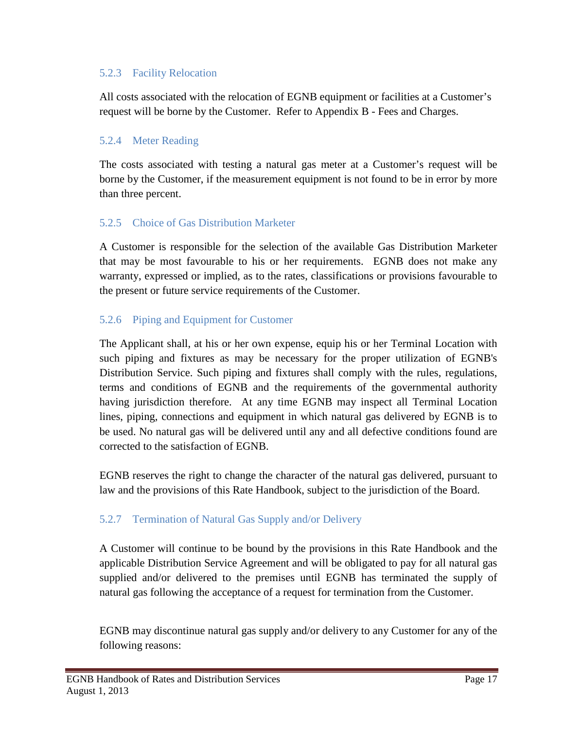### 5.2.3 Facility Relocation

All costs associated with the relocation of EGNB equipment or facilities at a Customer's request will be borne by the Customer. Refer to Appendix B - Fees and Charges.

# 5.2.4 Meter Reading

The costs associated with testing a natural gas meter at a Customer's request will be borne by the Customer, if the measurement equipment is not found to be in error by more than three percent.

# 5.2.5 Choice of Gas Distribution Marketer

A Customer is responsible for the selection of the available Gas Distribution Marketer that may be most favourable to his or her requirements. EGNB does not make any warranty, expressed or implied, as to the rates, classifications or provisions favourable to the present or future service requirements of the Customer.

# 5.2.6 Piping and Equipment for Customer

The Applicant shall, at his or her own expense, equip his or her Terminal Location with such piping and fixtures as may be necessary for the proper utilization of EGNB's Distribution Service. Such piping and fixtures shall comply with the rules, regulations, terms and conditions of EGNB and the requirements of the governmental authority having jurisdiction therefore. At any time EGNB may inspect all Terminal Location lines, piping, connections and equipment in which natural gas delivered by EGNB is to be used. No natural gas will be delivered until any and all defective conditions found are corrected to the satisfaction of EGNB.

EGNB reserves the right to change the character of the natural gas delivered, pursuant to law and the provisions of this Rate Handbook, subject to the jurisdiction of the Board.

# 5.2.7 Termination of Natural Gas Supply and/or Delivery

A Customer will continue to be bound by the provisions in this Rate Handbook and the applicable Distribution Service Agreement and will be obligated to pay for all natural gas supplied and/or delivered to the premises until EGNB has terminated the supply of natural gas following the acceptance of a request for termination from the Customer.

EGNB may discontinue natural gas supply and/or delivery to any Customer for any of the following reasons: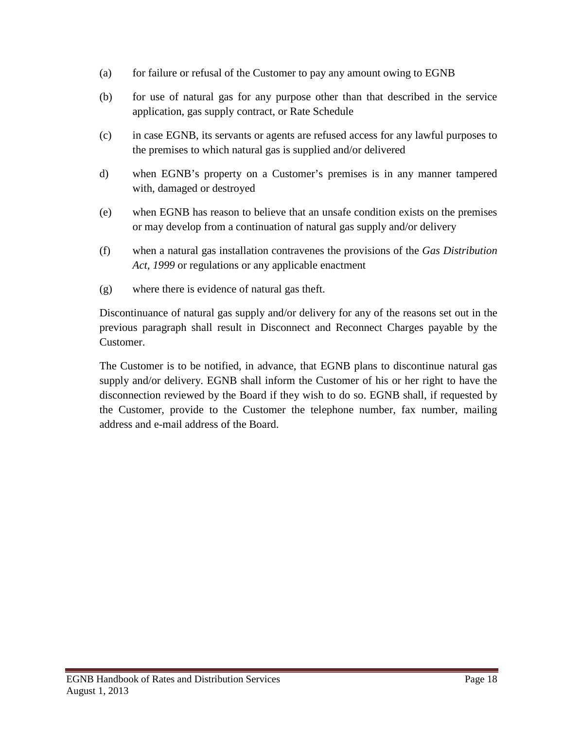- (a) for failure or refusal of the Customer to pay any amount owing to EGNB
- (b) for use of natural gas for any purpose other than that described in the service application, gas supply contract, or Rate Schedule
- (c) in case EGNB, its servants or agents are refused access for any lawful purposes to the premises to which natural gas is supplied and/or delivered
- d) when EGNB's property on a Customer's premises is in any manner tampered with, damaged or destroyed
- (e) when EGNB has reason to believe that an unsafe condition exists on the premises or may develop from a continuation of natural gas supply and/or delivery
- (f) when a natural gas installation contravenes the provisions of the *Gas Distribution Act, 1999* or regulations or any applicable enactment
- (g) where there is evidence of natural gas theft.

Discontinuance of natural gas supply and/or delivery for any of the reasons set out in the previous paragraph shall result in Disconnect and Reconnect Charges payable by the Customer.

The Customer is to be notified, in advance, that EGNB plans to discontinue natural gas supply and/or delivery. EGNB shall inform the Customer of his or her right to have the disconnection reviewed by the Board if they wish to do so. EGNB shall, if requested by the Customer, provide to the Customer the telephone number, fax number, mailing address and e-mail address of the Board.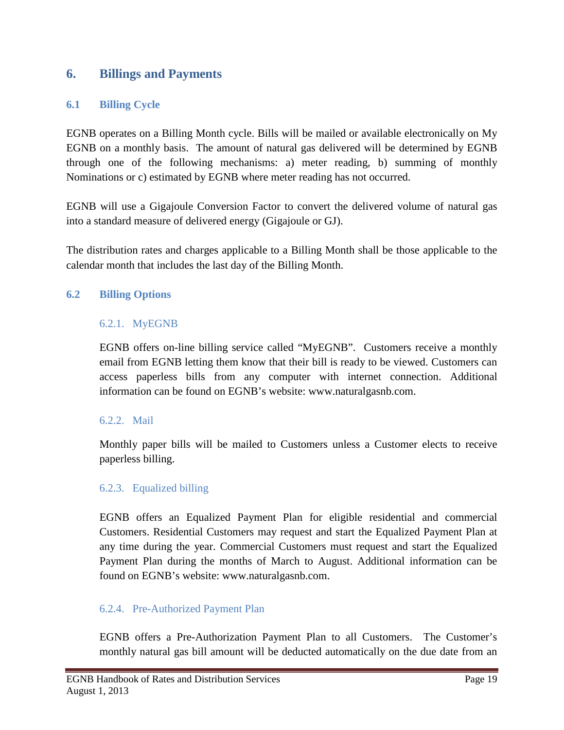# <span id="page-20-0"></span>**6. Billings and Payments**

### <span id="page-20-1"></span>**6.1 Billing Cycle**

EGNB operates on a Billing Month cycle. Bills will be mailed or available electronically on My EGNB on a monthly basis. The amount of natural gas delivered will be determined by EGNB through one of the following mechanisms: a) meter reading, b) summing of monthly Nominations or c) estimated by EGNB where meter reading has not occurred.

EGNB will use a Gigajoule Conversion Factor to convert the delivered volume of natural gas into a standard measure of delivered energy (Gigajoule or GJ).

The distribution rates and charges applicable to a Billing Month shall be those applicable to the calendar month that includes the last day of the Billing Month.

### <span id="page-20-2"></span>**6.2 Billing Options**

### 6.2.1. MyEGNB

EGNB offers on-line billing service called "MyEGNB". Customers receive a monthly email from EGNB letting them know that their bill is ready to be viewed. Customers can access paperless bills from any computer with internet connection. Additional information can be found on EGNB's website: www.naturalgasnb.com.

### 6.2.2. Mail

Monthly paper bills will be mailed to Customers unless a Customer elects to receive paperless billing.

### 6.2.3. Equalized billing

EGNB offers an Equalized Payment Plan for eligible residential and commercial Customers. Residential Customers may request and start the Equalized Payment Plan at any time during the year. Commercial Customers must request and start the Equalized Payment Plan during the months of March to August. Additional information can be found on EGNB's website: www.naturalgasnb.com.

### 6.2.4. Pre-Authorized Payment Plan

EGNB offers a Pre-Authorization Payment Plan to all Customers. The Customer's monthly natural gas bill amount will be deducted automatically on the due date from an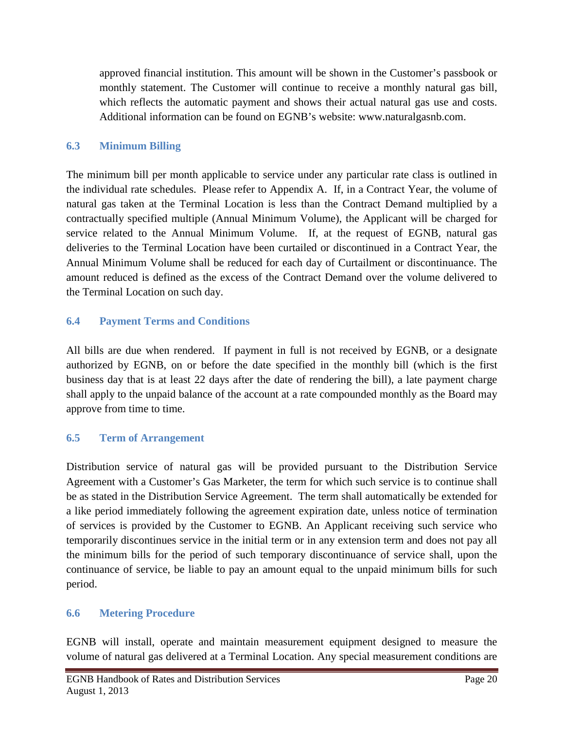approved financial institution. This amount will be shown in the Customer's passbook or monthly statement. The Customer will continue to receive a monthly natural gas bill, which reflects the automatic payment and shows their actual natural gas use and costs. Additional information can be found on EGNB's website: www.naturalgasnb.com.

# <span id="page-21-0"></span>**6.3 Minimum Billing**

The minimum bill per month applicable to service under any particular rate class is outlined in the individual rate schedules. Please refer to Appendix A. If, in a Contract Year, the volume of natural gas taken at the Terminal Location is less than the Contract Demand multiplied by a contractually specified multiple (Annual Minimum Volume), the Applicant will be charged for service related to the Annual Minimum Volume. If, at the request of EGNB, natural gas deliveries to the Terminal Location have been curtailed or discontinued in a Contract Year, the Annual Minimum Volume shall be reduced for each day of Curtailment or discontinuance. The amount reduced is defined as the excess of the Contract Demand over the volume delivered to the Terminal Location on such day.

# <span id="page-21-1"></span>**6.4 Payment Terms and Conditions**

All bills are due when rendered. If payment in full is not received by EGNB, or a designate authorized by EGNB, on or before the date specified in the monthly bill (which is the first business day that is at least 22 days after the date of rendering the bill), a late payment charge shall apply to the unpaid balance of the account at a rate compounded monthly as the Board may approve from time to time.

# <span id="page-21-2"></span>**6.5 Term of Arrangement**

Distribution service of natural gas will be provided pursuant to the Distribution Service Agreement with a Customer's Gas Marketer, the term for which such service is to continue shall be as stated in the Distribution Service Agreement. The term shall automatically be extended for a like period immediately following the agreement expiration date, unless notice of termination of services is provided by the Customer to EGNB. An Applicant receiving such service who temporarily discontinues service in the initial term or in any extension term and does not pay all the minimum bills for the period of such temporary discontinuance of service shall, upon the continuance of service, be liable to pay an amount equal to the unpaid minimum bills for such period.

# <span id="page-21-3"></span>**6.6 Metering Procedure**

EGNB will install, operate and maintain measurement equipment designed to measure the volume of natural gas delivered at a Terminal Location. Any special measurement conditions are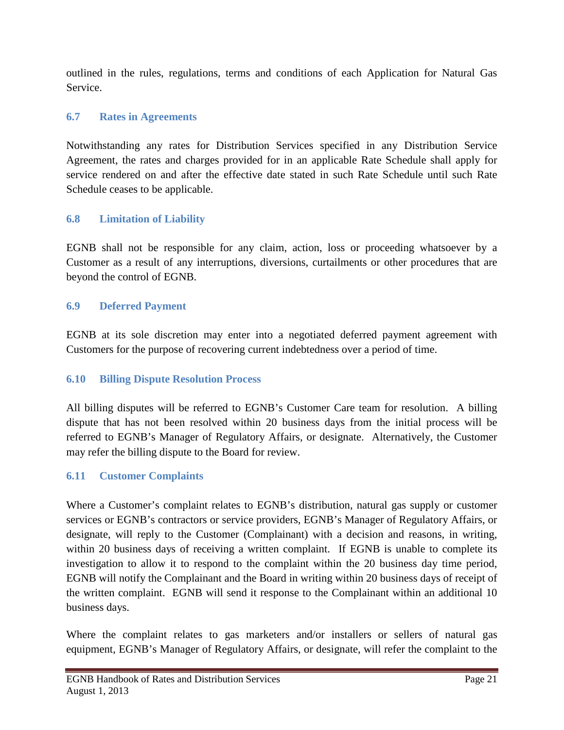outlined in the rules, regulations, terms and conditions of each Application for Natural Gas Service.

# <span id="page-22-0"></span>**6.7 Rates in Agreements**

Notwithstanding any rates for Distribution Services specified in any Distribution Service Agreement, the rates and charges provided for in an applicable Rate Schedule shall apply for service rendered on and after the effective date stated in such Rate Schedule until such Rate Schedule ceases to be applicable.

# <span id="page-22-1"></span>**6.8 Limitation of Liability**

EGNB shall not be responsible for any claim, action, loss or proceeding whatsoever by a Customer as a result of any interruptions, diversions, curtailments or other procedures that are beyond the control of EGNB.

# <span id="page-22-2"></span>**6.9 Deferred Payment**

EGNB at its sole discretion may enter into a negotiated deferred payment agreement with Customers for the purpose of recovering current indebtedness over a period of time.

# <span id="page-22-3"></span>**6.10 Billing Dispute Resolution Process**

All billing disputes will be referred to EGNB's Customer Care team for resolution. A billing dispute that has not been resolved within 20 business days from the initial process will be referred to EGNB's Manager of Regulatory Affairs, or designate. Alternatively, the Customer may refer the billing dispute to the Board for review.

# <span id="page-22-4"></span>**6.11 Customer Complaints**

Where a Customer's complaint relates to EGNB's distribution, natural gas supply or customer services or EGNB's contractors or service providers, EGNB's Manager of Regulatory Affairs, or designate, will reply to the Customer (Complainant) with a decision and reasons, in writing, within 20 business days of receiving a written complaint. If EGNB is unable to complete its investigation to allow it to respond to the complaint within the 20 business day time period, EGNB will notify the Complainant and the Board in writing within 20 business days of receipt of the written complaint. EGNB will send it response to the Complainant within an additional 10 business days.

Where the complaint relates to gas marketers and/or installers or sellers of natural gas equipment, EGNB's Manager of Regulatory Affairs, or designate, will refer the complaint to the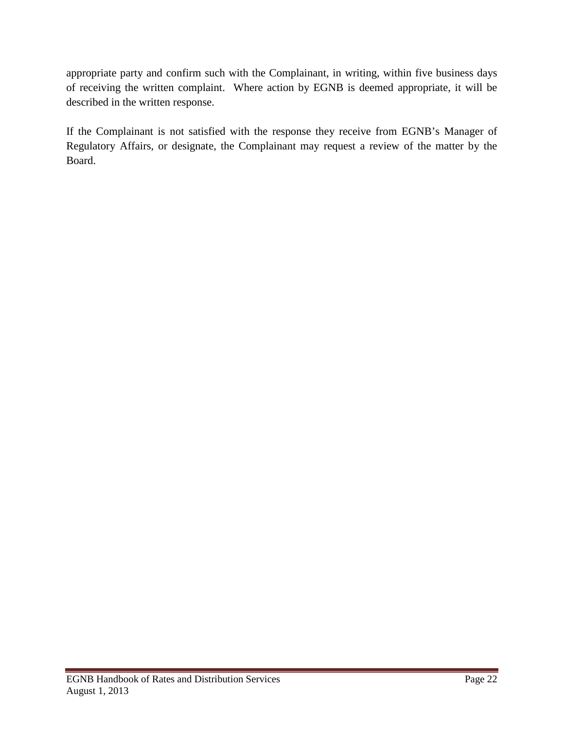appropriate party and confirm such with the Complainant, in writing, within five business days of receiving the written complaint. Where action by EGNB is deemed appropriate, it will be described in the written response.

If the Complainant is not satisfied with the response they receive from EGNB's Manager of Regulatory Affairs, or designate, the Complainant may request a review of the matter by the Board.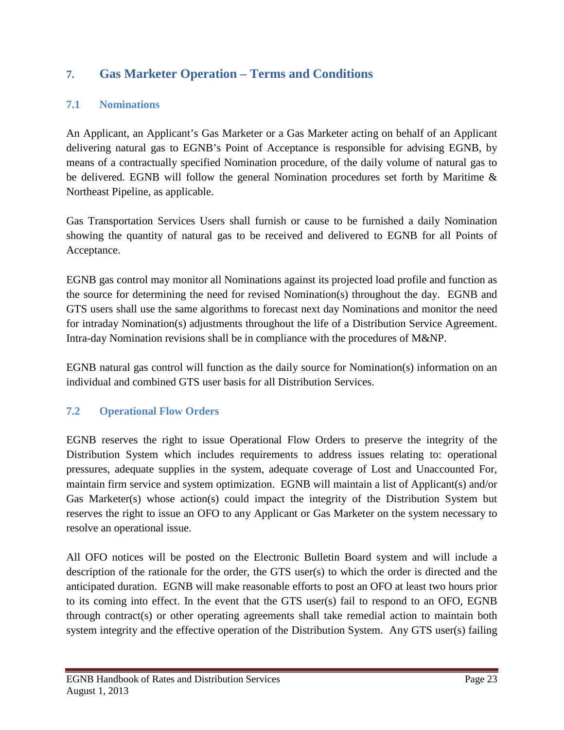# <span id="page-24-0"></span>**7. Gas Marketer Operation – Terms and Conditions**

# <span id="page-24-1"></span>**7.1 Nominations**

An Applicant, an Applicant's Gas Marketer or a Gas Marketer acting on behalf of an Applicant delivering natural gas to EGNB's Point of Acceptance is responsible for advising EGNB, by means of a contractually specified Nomination procedure, of the daily volume of natural gas to be delivered. EGNB will follow the general Nomination procedures set forth by Maritime & Northeast Pipeline, as applicable.

Gas Transportation Services Users shall furnish or cause to be furnished a daily Nomination showing the quantity of natural gas to be received and delivered to EGNB for all Points of Acceptance.

EGNB gas control may monitor all Nominations against its projected load profile and function as the source for determining the need for revised Nomination(s) throughout the day. EGNB and GTS users shall use the same algorithms to forecast next day Nominations and monitor the need for intraday Nomination(s) adjustments throughout the life of a Distribution Service Agreement. Intra-day Nomination revisions shall be in compliance with the procedures of M&NP.

EGNB natural gas control will function as the daily source for Nomination(s) information on an individual and combined GTS user basis for all Distribution Services.

# <span id="page-24-2"></span>**7.2 Operational Flow Orders**

EGNB reserves the right to issue Operational Flow Orders to preserve the integrity of the Distribution System which includes requirements to address issues relating to: operational pressures, adequate supplies in the system, adequate coverage of Lost and Unaccounted For, maintain firm service and system optimization. EGNB will maintain a list of Applicant(s) and/or Gas Marketer(s) whose action(s) could impact the integrity of the Distribution System but reserves the right to issue an OFO to any Applicant or Gas Marketer on the system necessary to resolve an operational issue.

All OFO notices will be posted on the Electronic Bulletin Board system and will include a description of the rationale for the order, the GTS user(s) to which the order is directed and the anticipated duration. EGNB will make reasonable efforts to post an OFO at least two hours prior to its coming into effect. In the event that the GTS user(s) fail to respond to an OFO, EGNB through contract(s) or other operating agreements shall take remedial action to maintain both system integrity and the effective operation of the Distribution System. Any GTS user(s) failing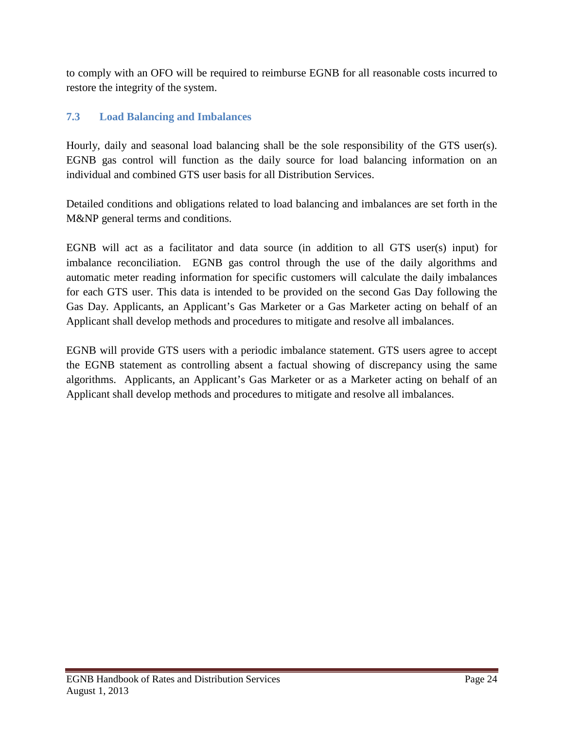to comply with an OFO will be required to reimburse EGNB for all reasonable costs incurred to restore the integrity of the system.

# <span id="page-25-0"></span>**7.3 Load Balancing and Imbalances**

Hourly, daily and seasonal load balancing shall be the sole responsibility of the GTS user(s). EGNB gas control will function as the daily source for load balancing information on an individual and combined GTS user basis for all Distribution Services.

Detailed conditions and obligations related to load balancing and imbalances are set forth in the M&NP general terms and conditions.

EGNB will act as a facilitator and data source (in addition to all GTS user(s) input) for imbalance reconciliation. EGNB gas control through the use of the daily algorithms and automatic meter reading information for specific customers will calculate the daily imbalances for each GTS user. This data is intended to be provided on the second Gas Day following the Gas Day. Applicants, an Applicant's Gas Marketer or a Gas Marketer acting on behalf of an Applicant shall develop methods and procedures to mitigate and resolve all imbalances.

EGNB will provide GTS users with a periodic imbalance statement. GTS users agree to accept the EGNB statement as controlling absent a factual showing of discrepancy using the same algorithms. Applicants, an Applicant's Gas Marketer or as a Marketer acting on behalf of an Applicant shall develop methods and procedures to mitigate and resolve all imbalances.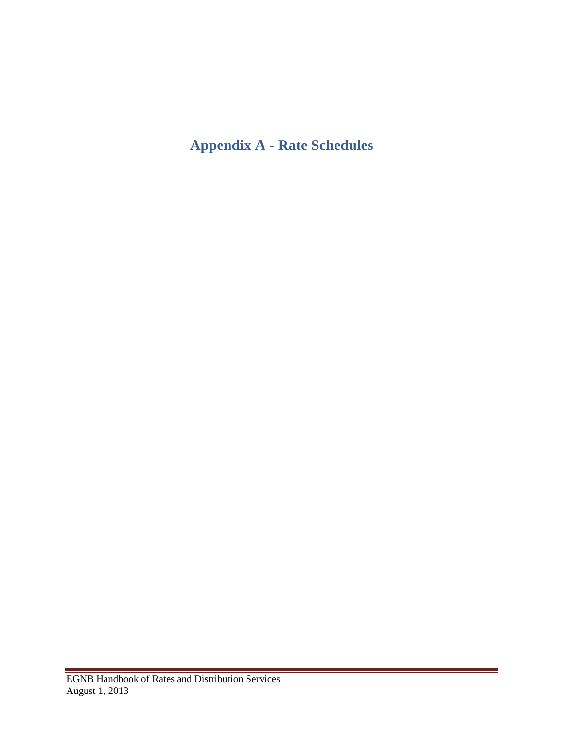# <span id="page-26-0"></span>**Appendix A - Rate Schedules**

 $\sim$  10  $\pm$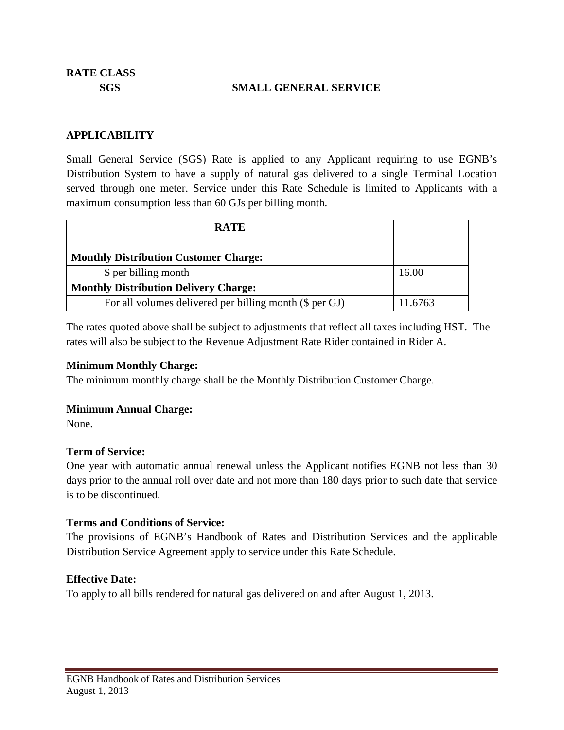**RATE CLASS**

#### **SGS SMALL GENERAL SERVICE**

#### **APPLICABILITY**

Small General Service (SGS) Rate is applied to any Applicant requiring to use EGNB's Distribution System to have a supply of natural gas delivered to a single Terminal Location served through one meter. Service under this Rate Schedule is limited to Applicants with a maximum consumption less than 60 GJs per billing month.

| <b>RATE</b>                                             |         |
|---------------------------------------------------------|---------|
|                                                         |         |
| <b>Monthly Distribution Customer Charge:</b>            |         |
| \$ per billing month                                    | 16.00   |
| <b>Monthly Distribution Delivery Charge:</b>            |         |
| For all volumes delivered per billing month (\$ per GJ) | 11.6763 |

The rates quoted above shall be subject to adjustments that reflect all taxes including HST. The rates will also be subject to the Revenue Adjustment Rate Rider contained in Rider A.

#### **Minimum Monthly Charge:**

The minimum monthly charge shall be the Monthly Distribution Customer Charge.

#### **Minimum Annual Charge:**

None.

### **Term of Service:**

One year with automatic annual renewal unless the Applicant notifies EGNB not less than 30 days prior to the annual roll over date and not more than 180 days prior to such date that service is to be discontinued.

### **Terms and Conditions of Service:**

The provisions of EGNB's Handbook of Rates and Distribution Services and the applicable Distribution Service Agreement apply to service under this Rate Schedule.

### **Effective Date:**

To apply to all bills rendered for natural gas delivered on and after August 1, 2013.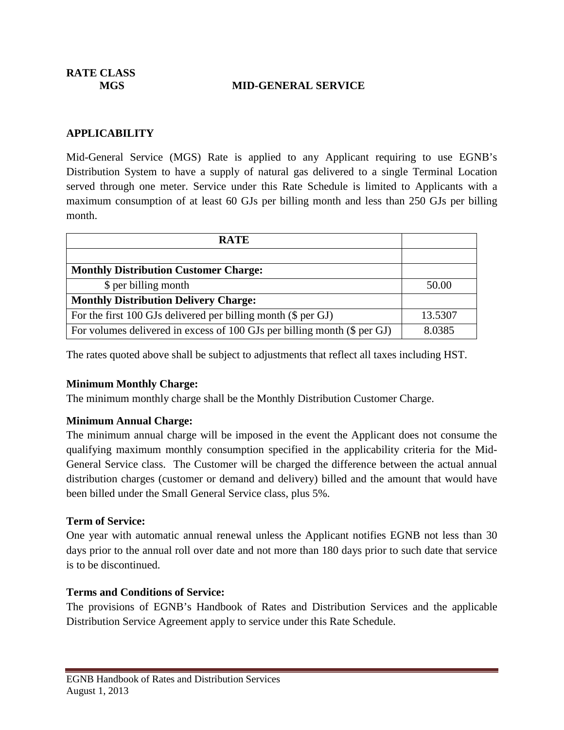**RATE CLASS**

#### **MGS MID-GENERAL SERVICE**

#### **APPLICABILITY**

Mid-General Service (MGS) Rate is applied to any Applicant requiring to use EGNB's Distribution System to have a supply of natural gas delivered to a single Terminal Location served through one meter. Service under this Rate Schedule is limited to Applicants with a maximum consumption of at least 60 GJs per billing month and less than 250 GJs per billing month.

| <b>RATE</b>                                                              |         |
|--------------------------------------------------------------------------|---------|
|                                                                          |         |
| <b>Monthly Distribution Customer Charge:</b>                             |         |
| \$ per billing month                                                     | 50.00   |
| <b>Monthly Distribution Delivery Charge:</b>                             |         |
| For the first 100 GJs delivered per billing month (\$ per GJ)            | 13.5307 |
| For volumes delivered in excess of 100 GJs per billing month (\$ per GJ) | 8.0385  |

The rates quoted above shall be subject to adjustments that reflect all taxes including HST.

### **Minimum Monthly Charge:**

The minimum monthly charge shall be the Monthly Distribution Customer Charge.

### **Minimum Annual Charge:**

The minimum annual charge will be imposed in the event the Applicant does not consume the qualifying maximum monthly consumption specified in the applicability criteria for the Mid-General Service class. The Customer will be charged the difference between the actual annual distribution charges (customer or demand and delivery) billed and the amount that would have been billed under the Small General Service class, plus 5%.

#### **Term of Service:**

One year with automatic annual renewal unless the Applicant notifies EGNB not less than 30 days prior to the annual roll over date and not more than 180 days prior to such date that service is to be discontinued.

### **Terms and Conditions of Service:**

The provisions of EGNB's Handbook of Rates and Distribution Services and the applicable Distribution Service Agreement apply to service under this Rate Schedule.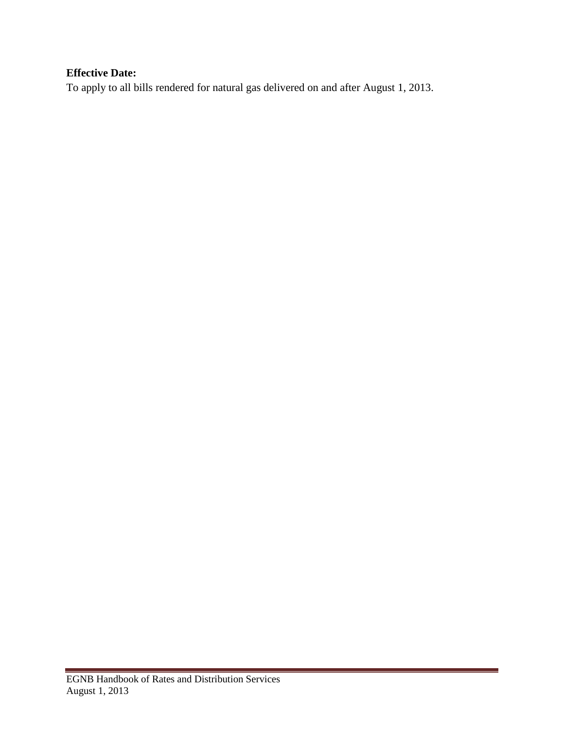# **Effective Date:**

To apply to all bills rendered for natural gas delivered on and after August 1, 2013.

 $\sim$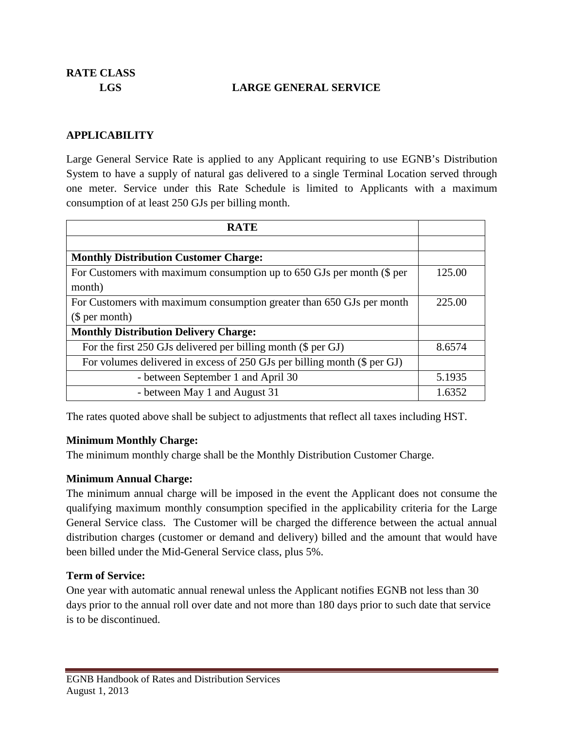**RATE CLASS**

### **LGS LARGE GENERAL SERVICE**

#### **APPLICABILITY**

Large General Service Rate is applied to any Applicant requiring to use EGNB's Distribution System to have a supply of natural gas delivered to a single Terminal Location served through one meter. Service under this Rate Schedule is limited to Applicants with a maximum consumption of at least 250 GJs per billing month.

| <b>RATE</b>                                                              |        |  |
|--------------------------------------------------------------------------|--------|--|
|                                                                          |        |  |
| <b>Monthly Distribution Customer Charge:</b>                             |        |  |
| For Customers with maximum consumption up to 650 GJs per month (\$ per   | 125.00 |  |
| month)                                                                   |        |  |
| For Customers with maximum consumption greater than 650 GJs per month    | 225.00 |  |
| \$per month)                                                             |        |  |
| <b>Monthly Distribution Delivery Charge:</b>                             |        |  |
| For the first 250 GJs delivered per billing month (\$ per GJ)            | 8.6574 |  |
| For volumes delivered in excess of 250 GJs per billing month (\$ per GJ) |        |  |
| - between September 1 and April 30                                       | 5.1935 |  |
| - between May 1 and August 31                                            | 1.6352 |  |

The rates quoted above shall be subject to adjustments that reflect all taxes including HST.

#### **Minimum Monthly Charge:**

The minimum monthly charge shall be the Monthly Distribution Customer Charge.

### **Minimum Annual Charge:**

The minimum annual charge will be imposed in the event the Applicant does not consume the qualifying maximum monthly consumption specified in the applicability criteria for the Large General Service class. The Customer will be charged the difference between the actual annual distribution charges (customer or demand and delivery) billed and the amount that would have been billed under the Mid-General Service class, plus 5%.

#### **Term of Service:**

One year with automatic annual renewal unless the Applicant notifies EGNB not less than 30 days prior to the annual roll over date and not more than 180 days prior to such date that service is to be discontinued.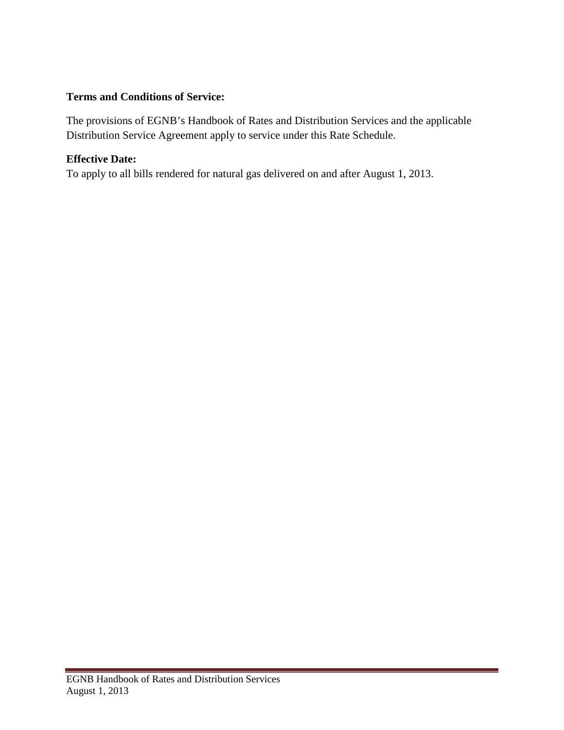# **Terms and Conditions of Service:**

The provisions of EGNB's Handbook of Rates and Distribution Services and the applicable Distribution Service Agreement apply to service under this Rate Schedule.

# **Effective Date:**

To apply to all bills rendered for natural gas delivered on and after August 1, 2013.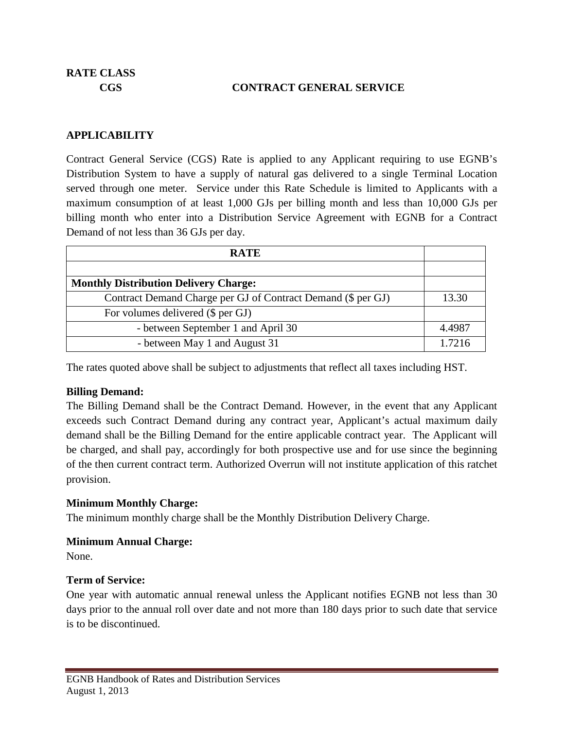### **CGS CONTRACT GENERAL SERVICE**

### **APPLICABILITY**

Contract General Service (CGS) Rate is applied to any Applicant requiring to use EGNB's Distribution System to have a supply of natural gas delivered to a single Terminal Location served through one meter. Service under this Rate Schedule is limited to Applicants with a maximum consumption of at least 1,000 GJs per billing month and less than 10,000 GJs per billing month who enter into a Distribution Service Agreement with EGNB for a Contract Demand of not less than 36 GJs per day.

| <b>RATE</b>                                                  |        |
|--------------------------------------------------------------|--------|
|                                                              |        |
| <b>Monthly Distribution Delivery Charge:</b>                 |        |
| Contract Demand Charge per GJ of Contract Demand (\$ per GJ) | 13.30  |
| For volumes delivered (\$ per GJ)                            |        |
| - between September 1 and April 30                           | 4.4987 |
| - between May 1 and August 31                                | 1.7216 |

The rates quoted above shall be subject to adjustments that reflect all taxes including HST.

### **Billing Demand:**

The Billing Demand shall be the Contract Demand. However, in the event that any Applicant exceeds such Contract Demand during any contract year, Applicant's actual maximum daily demand shall be the Billing Demand for the entire applicable contract year. The Applicant will be charged, and shall pay, accordingly for both prospective use and for use since the beginning of the then current contract term. Authorized Overrun will not institute application of this ratchet provision.

### **Minimum Monthly Charge:**

The minimum monthly charge shall be the Monthly Distribution Delivery Charge.

### **Minimum Annual Charge:**

None.

### **Term of Service:**

One year with automatic annual renewal unless the Applicant notifies EGNB not less than 30 days prior to the annual roll over date and not more than 180 days prior to such date that service is to be discontinued.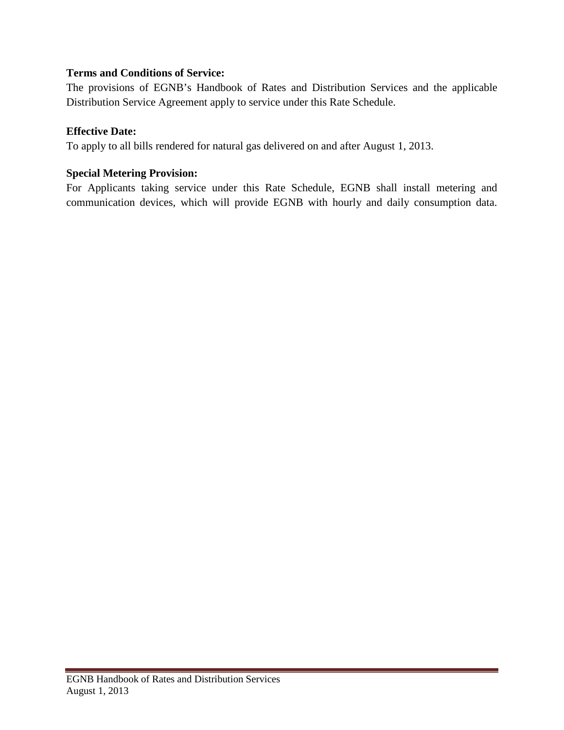# **Terms and Conditions of Service:**

The provisions of EGNB's Handbook of Rates and Distribution Services and the applicable Distribution Service Agreement apply to service under this Rate Schedule.

### **Effective Date:**

To apply to all bills rendered for natural gas delivered on and after August 1, 2013.

# **Special Metering Provision:**

For Applicants taking service under this Rate Schedule, EGNB shall install metering and communication devices, which will provide EGNB with hourly and daily consumption data.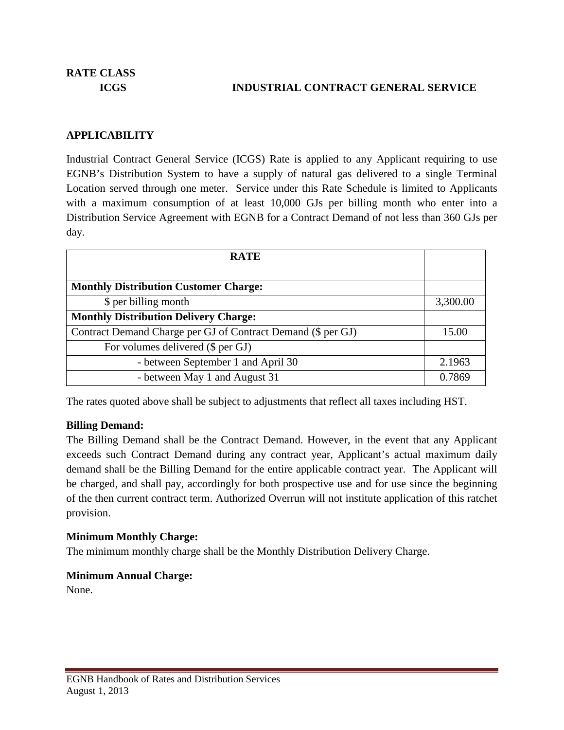# **ICGS INDUSTRIAL CONTRACT GENERAL SERVICE**

# **APPLICABILITY**

Industrial Contract General Service (ICGS) Rate is applied to any Applicant requiring to use EGNB's Distribution System to have a supply of natural gas delivered to a single Terminal Location served through one meter. Service under this Rate Schedule is limited to Applicants with a maximum consumption of at least 10,000 GJs per billing month who enter into a Distribution Service Agreement with EGNB for a Contract Demand of not less than 360 GJs per day.

| <b>RATE</b>                                                  |          |
|--------------------------------------------------------------|----------|
|                                                              |          |
| <b>Monthly Distribution Customer Charge:</b>                 |          |
| \$ per billing month                                         | 3,300.00 |
| <b>Monthly Distribution Delivery Charge:</b>                 |          |
| Contract Demand Charge per GJ of Contract Demand (\$ per GJ) |          |
| For volumes delivered (\$ per GJ)                            |          |
| - between September 1 and April 30                           | 2.1963   |
| - between May 1 and August 31                                | 0.7869   |

The rates quoted above shall be subject to adjustments that reflect all taxes including HST.

### **Billing Demand:**

The Billing Demand shall be the Contract Demand. However, in the event that any Applicant exceeds such Contract Demand during any contract year, Applicant's actual maximum daily demand shall be the Billing Demand for the entire applicable contract year. The Applicant will be charged, and shall pay, accordingly for both prospective use and for use since the beginning of the then current contract term. Authorized Overrun will not institute application of this ratchet provision.

### **Minimum Monthly Charge:**

The minimum monthly charge shall be the Monthly Distribution Delivery Charge.

### **Minimum Annual Charge:**

None.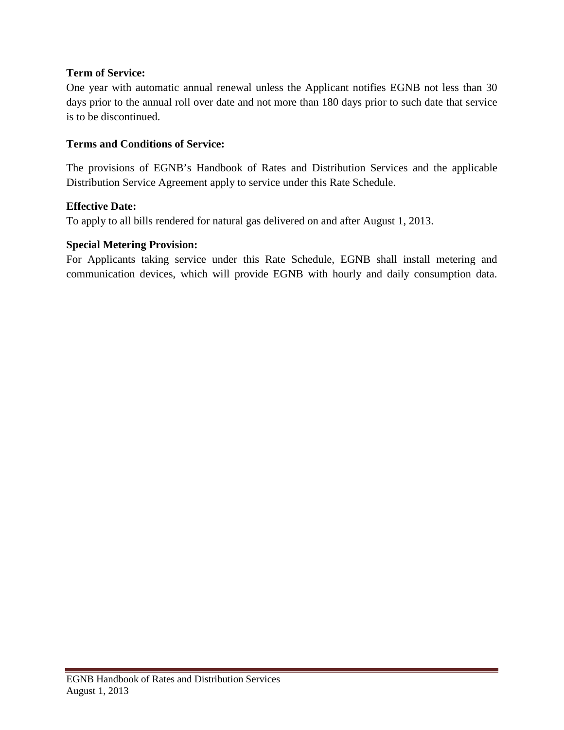# **Term of Service:**

One year with automatic annual renewal unless the Applicant notifies EGNB not less than 30 days prior to the annual roll over date and not more than 180 days prior to such date that service is to be discontinued.

### **Terms and Conditions of Service:**

The provisions of EGNB's Handbook of Rates and Distribution Services and the applicable Distribution Service Agreement apply to service under this Rate Schedule.

### **Effective Date:**

To apply to all bills rendered for natural gas delivered on and after August 1, 2013.

### **Special Metering Provision:**

For Applicants taking service under this Rate Schedule, EGNB shall install metering and communication devices, which will provide EGNB with hourly and daily consumption data.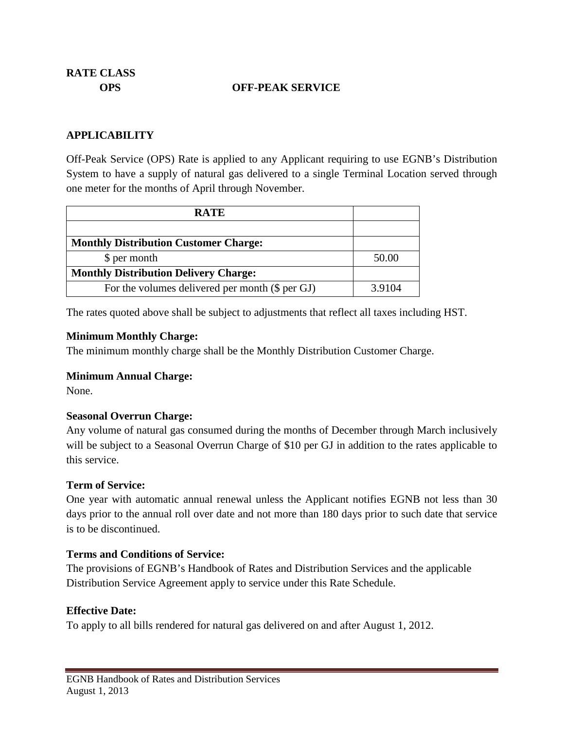### **OPS OFF-PEAK SERVICE**

### **APPLICABILITY**

Off-Peak Service (OPS) Rate is applied to any Applicant requiring to use EGNB's Distribution System to have a supply of natural gas delivered to a single Terminal Location served through one meter for the months of April through November.

| <b>RATE</b>                                     |        |
|-------------------------------------------------|--------|
|                                                 |        |
| <b>Monthly Distribution Customer Charge:</b>    |        |
| \$ per month                                    | 50.00  |
| <b>Monthly Distribution Delivery Charge:</b>    |        |
| For the volumes delivered per month (\$ per GJ) | 3.9104 |

The rates quoted above shall be subject to adjustments that reflect all taxes including HST.

#### **Minimum Monthly Charge:**

The minimum monthly charge shall be the Monthly Distribution Customer Charge.

### **Minimum Annual Charge:**

None.

### **Seasonal Overrun Charge:**

Any volume of natural gas consumed during the months of December through March inclusively will be subject to a Seasonal Overrun Charge of \$10 per GJ in addition to the rates applicable to this service.

### **Term of Service:**

One year with automatic annual renewal unless the Applicant notifies EGNB not less than 30 days prior to the annual roll over date and not more than 180 days prior to such date that service is to be discontinued.

### **Terms and Conditions of Service:**

The provisions of EGNB's Handbook of Rates and Distribution Services and the applicable Distribution Service Agreement apply to service under this Rate Schedule.

### **Effective Date:**

To apply to all bills rendered for natural gas delivered on and after August 1, 2012.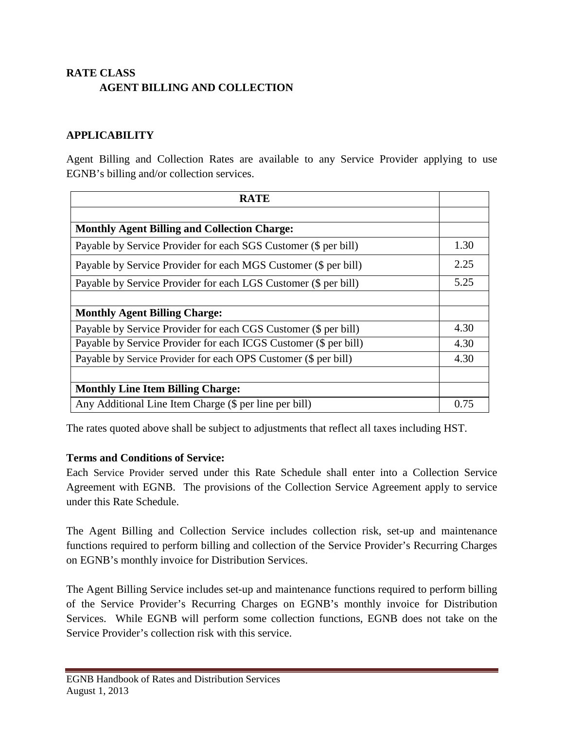# **RATE CLASS AGENT BILLING AND COLLECTION**

### **APPLICABILITY**

Agent Billing and Collection Rates are available to any Service Provider applying to use EGNB's billing and/or collection services.

| <b>RATE</b>                                                      |      |
|------------------------------------------------------------------|------|
|                                                                  |      |
| <b>Monthly Agent Billing and Collection Charge:</b>              |      |
| Payable by Service Provider for each SGS Customer (\$ per bill)  | 1.30 |
| Payable by Service Provider for each MGS Customer (\$ per bill)  | 2.25 |
| Payable by Service Provider for each LGS Customer (\$ per bill)  | 5.25 |
|                                                                  |      |
| <b>Monthly Agent Billing Charge:</b>                             |      |
| Payable by Service Provider for each CGS Customer (\$ per bill)  | 4.30 |
| Payable by Service Provider for each ICGS Customer (\$ per bill) | 4.30 |
| Payable by Service Provider for each OPS Customer (\$ per bill)  | 4.30 |
|                                                                  |      |
| <b>Monthly Line Item Billing Charge:</b>                         |      |
| Any Additional Line Item Charge (\$ per line per bill)           | 0.75 |

The rates quoted above shall be subject to adjustments that reflect all taxes including HST.

### **Terms and Conditions of Service:**

Each Service Provider served under this Rate Schedule shall enter into a Collection Service Agreement with EGNB. The provisions of the Collection Service Agreement apply to service under this Rate Schedule.

The Agent Billing and Collection Service includes collection risk, set-up and maintenance functions required to perform billing and collection of the Service Provider's Recurring Charges on EGNB's monthly invoice for Distribution Services.

The Agent Billing Service includes set-up and maintenance functions required to perform billing of the Service Provider's Recurring Charges on EGNB's monthly invoice for Distribution Services. While EGNB will perform some collection functions, EGNB does not take on the Service Provider's collection risk with this service.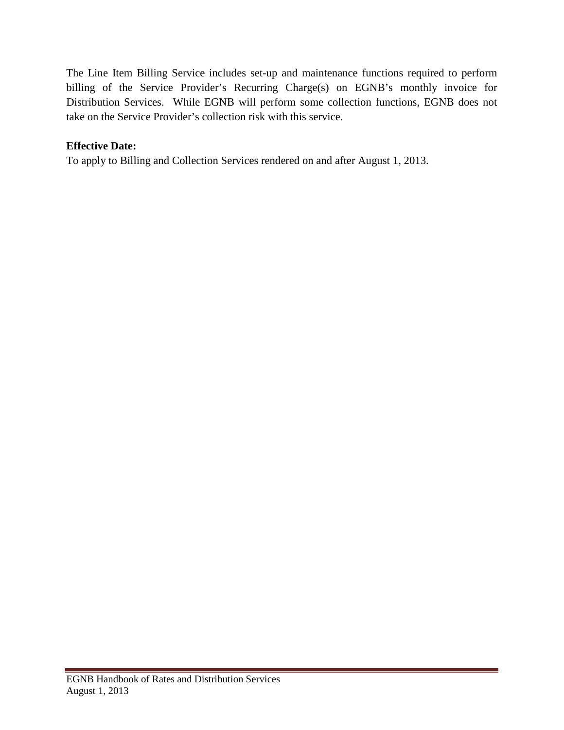The Line Item Billing Service includes set-up and maintenance functions required to perform billing of the Service Provider's Recurring Charge(s) on EGNB's monthly invoice for Distribution Services. While EGNB will perform some collection functions, EGNB does not take on the Service Provider's collection risk with this service.

# **Effective Date:**

To apply to Billing and Collection Services rendered on and after August 1, 2013.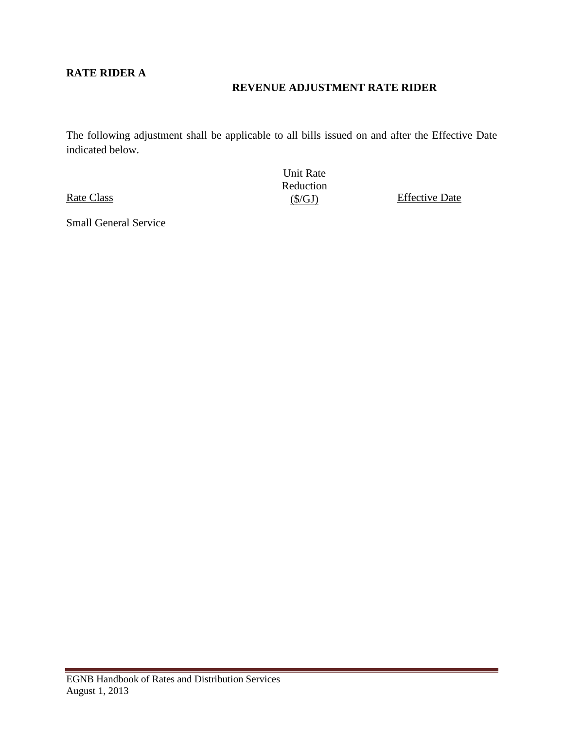# **RATE RIDER A**

# **REVENUE ADJUSTMENT RATE RIDER**

The following adjustment shall be applicable to all bills issued on and after the Effective Date indicated below.

Rate Class

<span id="page-39-0"></span>Small General Service

Unit Rate Reduction<br> $(S/GJ)$ 

**Effective Date**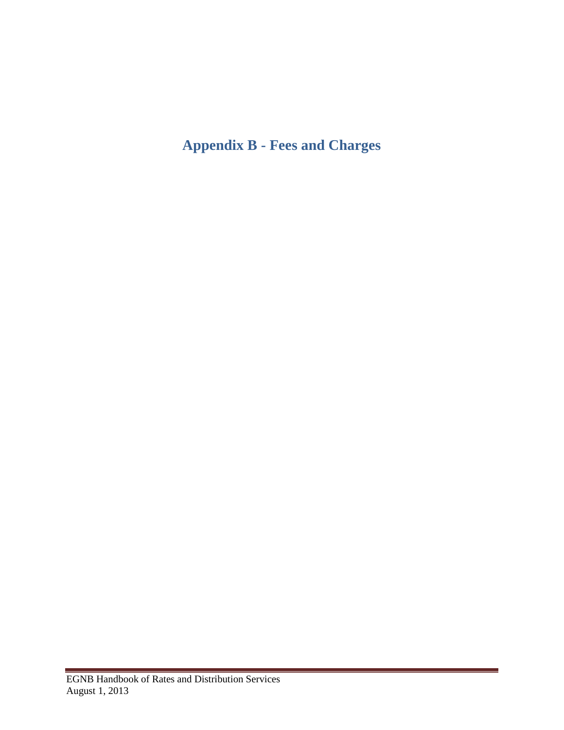# **Appendix B - Fees and Charges**

 $\sim$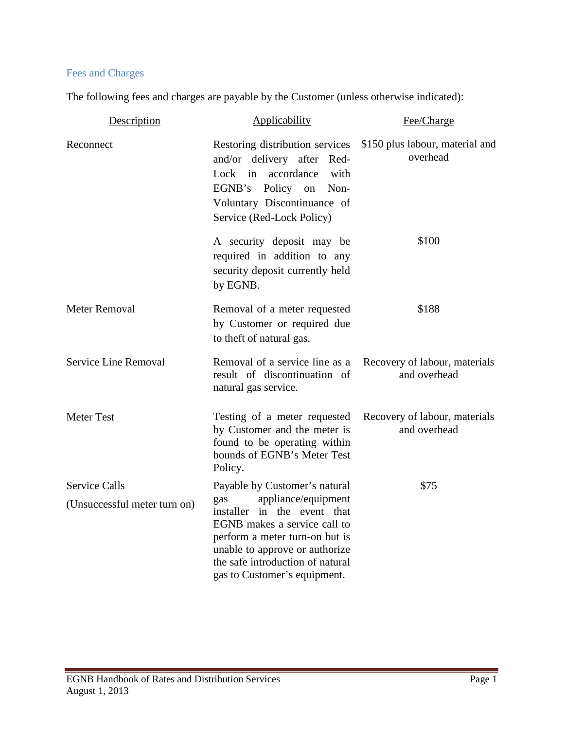# Fees and Charges

The following fees and charges are payable by the Customer (unless otherwise indicated):

| Description                                          | Applicability                                                                                                                                                                                                                                                      | Fee/Charge                                    |
|------------------------------------------------------|--------------------------------------------------------------------------------------------------------------------------------------------------------------------------------------------------------------------------------------------------------------------|-----------------------------------------------|
| Reconnect                                            | Restoring distribution services<br>and/or delivery after Red-<br>accordance<br>Lock<br>in<br>with<br>EGNB's Policy on<br>Non-<br>Voluntary Discontinuance of<br>Service (Red-Lock Policy)                                                                          | \$150 plus labour, material and<br>overhead   |
|                                                      | A security deposit may be<br>required in addition to any<br>security deposit currently held<br>by EGNB.                                                                                                                                                            | \$100                                         |
| <b>Meter Removal</b>                                 | Removal of a meter requested<br>by Customer or required due<br>to theft of natural gas.                                                                                                                                                                            | \$188                                         |
| Service Line Removal                                 | Removal of a service line as a<br>result of discontinuation of<br>natural gas service.                                                                                                                                                                             | Recovery of labour, materials<br>and overhead |
| <b>Meter Test</b>                                    | Testing of a meter requested<br>by Customer and the meter is<br>found to be operating within<br>bounds of EGNB's Meter Test<br>Policy.                                                                                                                             | Recovery of labour, materials<br>and overhead |
| <b>Service Calls</b><br>(Unsuccessful meter turn on) | Payable by Customer's natural<br>appliance/equipment<br>gas<br>installer in the event that<br>EGNB makes a service call to<br>perform a meter turn-on but is<br>unable to approve or authorize<br>the safe introduction of natural<br>gas to Customer's equipment. | \$75                                          |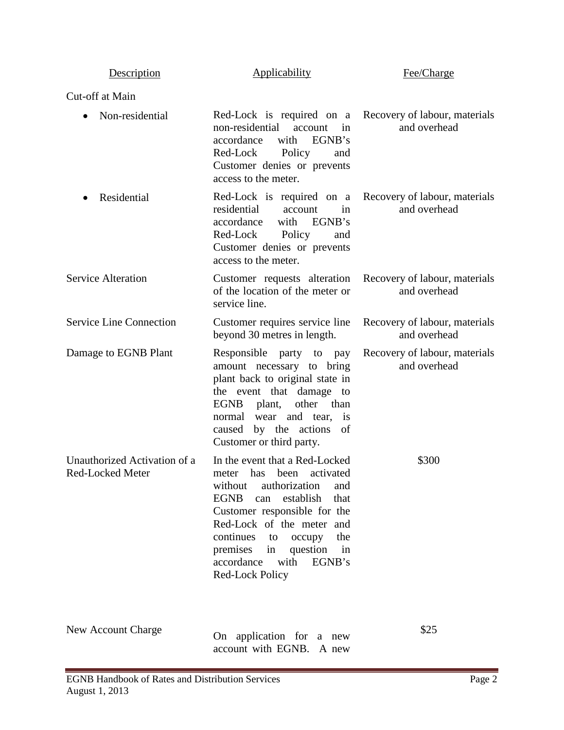| Description                                      | <b>Applicability</b>                                                                                                                                                                                                                                                                                                              | Fee/Charge                                    |
|--------------------------------------------------|-----------------------------------------------------------------------------------------------------------------------------------------------------------------------------------------------------------------------------------------------------------------------------------------------------------------------------------|-----------------------------------------------|
| Cut-off at Main                                  |                                                                                                                                                                                                                                                                                                                                   |                                               |
| Non-residential                                  | Red-Lock is required on a Recovery of labour, materials<br>non-residential<br>account<br>in<br>accordance<br>with<br>EGNB's<br>Red-Lock Policy<br>and<br>Customer denies or prevents<br>access to the meter.                                                                                                                      | and overhead                                  |
| Residential                                      | Red-Lock is required on a Recovery of labour, materials<br>residential<br>account<br>in<br>accordance<br>with EGNB's<br>Red-Lock Policy<br>and<br>Customer denies or prevents<br>access to the meter.                                                                                                                             | and overhead                                  |
| <b>Service Alteration</b>                        | Customer requests alteration<br>of the location of the meter or<br>service line.                                                                                                                                                                                                                                                  | Recovery of labour, materials<br>and overhead |
| <b>Service Line Connection</b>                   | Customer requires service line<br>beyond 30 metres in length.                                                                                                                                                                                                                                                                     | Recovery of labour, materials<br>and overhead |
| Damage to EGNB Plant                             | Responsible party to pay<br>amount necessary to bring<br>plant back to original state in<br>the event that damage to<br>other than<br>EGNB<br>plant,<br>normal wear and tear,<br>is<br>caused by the actions<br>of<br>Customer or third party.                                                                                    | Recovery of labour, materials<br>and overhead |
| Unauthorized Activation of a<br>Red-Locked Meter | In the event that a Red-Locked<br>meter has been activated<br>authorization<br>without<br>and<br><b>EGNB</b><br>establish<br>that<br>can<br>Customer responsible for the<br>Red-Lock of the meter and<br>continues<br>the<br>occupy<br>to<br>premises<br>in question in<br>accordance<br>with<br>EGNB's<br><b>Red-Lock Policy</b> | \$300                                         |
| <b>New Account Charge</b>                        | On application for a new                                                                                                                                                                                                                                                                                                          | \$25                                          |

account with EGNB. A new